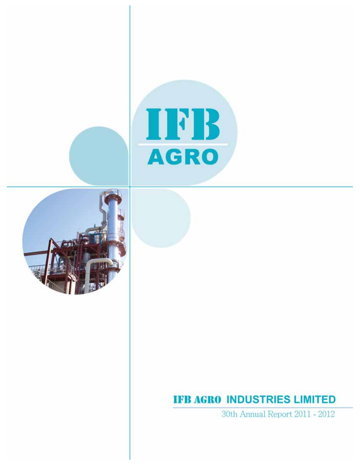



## **IFB AGRO INDUSTRIES LIMITED**

30th Annual Report 2011 - 2012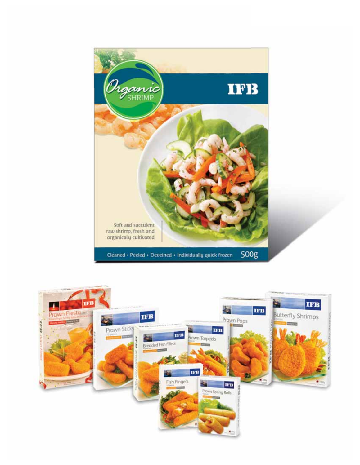

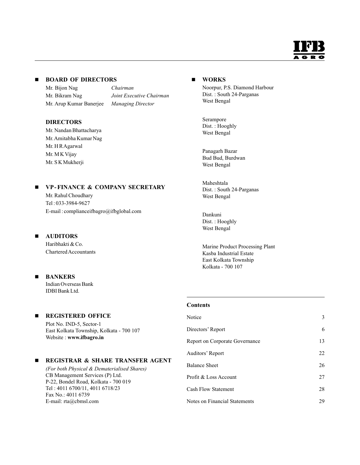

#### **BOARD OF DIRECTORS**

Mr. Bijon Nag *Chairman* Mr. Bikram Nag *Joint Executive Chairman* Mr. Arup Kumar Banerjee *Managing Director*

#### **DIRECTORS**

Mr. Nandan Bhattacharya Mr.Amitabha Kumar Nag Mr. H R Agarwal Mr. M K Vijay Mr. S K Mukherji

#### $\blacksquare$ **VP - FINANCE & COMPANY SECRETARY**

Mr. Rahul Choudhary Tel : 033-3984-9627 E-mail : complianceifbagro@ifbglobal.com

#### $\blacksquare$ **AUDITORS**

Haribhakti & Co. Chartered Accountants

#### $\blacksquare$ **BANKERS**

Indian Overseas Bank IDBI Bank Ltd.

#### $\blacksquare$ **REGISTERED OFFICE**

Plot No. IND-5, Sector-1 East Kolkata Township, Kolkata - 700 107 Website : **www.ifbagro.in**

#### $\blacksquare$ **REGISTRAR & SHARE TRANSFER AGENT**

*(For both Physical & Dematerialised Shares)* CB Management Services (P) Ltd. P-22, Bondel Road, Kolkata - 700 019 Tel : 4011 6700/11, 4011 6718/23 Fax No.: 4011 6739 E-mail: rta@cbmsl.com

#### **WORKS**

Noorpur, P.S. Diamond Harbour Dist. : South 24-Parganas West Bengal

Serampore Dist. : Hooghly West Bengal

Panagarh Bazar Bud Bud, Burdwan West Bengal

Maheshtala Dist. : South 24-Parganas West Bengal

Dankuni Dist. : Hooghly West Bengal

Marine Product Processing Plant Kasba Industrial Estate East Kolkata Township Kolkata - 700 107

#### **Contents**

| Notice                               | 3  |
|--------------------------------------|----|
| Directors' Report                    | 6  |
| Report on Corporate Governance       | 13 |
| Auditors' Report                     | 22 |
| Balance Sheet                        | 26 |
| Profit & Loss Account                | 27 |
| <b>Cash Flow Statement</b>           | 28 |
| <b>Notes on Financial Statements</b> | 29 |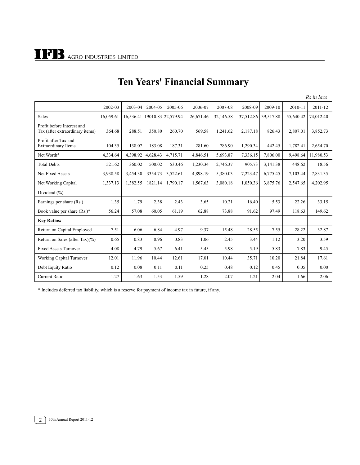|                                                               |           |           |          |                    |           |           |           |           |           | Rs in lacs |
|---------------------------------------------------------------|-----------|-----------|----------|--------------------|-----------|-----------|-----------|-----------|-----------|------------|
|                                                               | 2002-03   | 2003-04   | 2004-05  | 2005-06            | 2006-07   | 2007-08   | 2008-09   | 2009-10   | 2010-11   | 2011-12    |
| <b>Sales</b>                                                  | 16.059.61 | 16.536.41 |          | 19010.83 22,579.94 | 26,671.46 | 32,146.58 | 37,512.86 | 39,517.88 | 55,640.42 | 74,012.40  |
| Profit before Interest and<br>Tax (after extraordinary items) | 364.68    | 288.51    | 350.80   | 260.70             | 569.58    | 1,241.62  | 2,187.18  | 826.43    | 2,807.01  | 3,852.73   |
| Profit after Tax and<br><b>Extraordinary Items</b>            | 104.35    | 138.07    | 183.08   | 187.31             | 281.60    | 786.90    | 1,290.34  | 442.45    | 1,782.41  | 2,654.70   |
| Net Worth*                                                    | 4.334.64  | 4.398.92  | 4.628.43 | 4.715.71           | 4,846.51  | 5,693.87  | 7,336.15  | 7,806.00  | 9.498.64  | 11,980.53  |
| <b>Total Debts</b>                                            | 521.62    | 360.02    | 500.02   | 530.46             | 1,230.34  | 2,746.37  | 905.73    | 3,141.38  | 448.62    | 18.56      |
| Net Fixed Assets                                              | 3,938.58  | 3,454.30  | 3354.73  | 3,522.61           | 4,898.19  | 5,380.03  | 7,223.47  | 6,775.45  | 7,103.44  | 7,831.35   |
| Net Working Capital                                           | 1,337.13  | 1,382.55  | 1821.14  | 1,790.17           | 1,567.63  | 3,080.18  | 1,050.36  | 3,875.76  | 2,547.65  | 4,202.95   |
| Dividend $(\% )$                                              |           |           |          |                    |           |           |           |           |           |            |
| Earnings per share (Rs.)                                      | 1.35      | 1.79      | 2.38     | 2.43               | 3.65      | 10.21     | 16.40     | 5.53      | 22.26     | 33.15      |
| Book value per share $(Rs.)^*$                                | 56.24     | 57.08     | 60.05    | 61.19              | 62.88     | 73.88     | 91.62     | 97.49     | 118.63    | 149.62     |
| <b>Key Ratios:</b>                                            |           |           |          |                    |           |           |           |           |           |            |
| Return on Capital Employed                                    | 7.51      | 6.06      | 6.84     | 4.97               | 9.37      | 15.48     | 28.55     | 7.55      | 28.22     | 32.87      |
| Return on Sales (after Tax) $(\% )$                           | 0.65      | 0.83      | 0.96     | 0.83               | 1.06      | 2.45      | 3.44      | 1.12      | 3.20      | 3.59       |
| <b>Fixed Assets Turnover</b>                                  | 4.08      | 4.79      | 5.67     | 6.41               | 5.45      | 5.98      | 5.19      | 5.83      | 7.83      | 9.45       |
| Working Capital Turnover                                      | 12.01     | 11.96     | 10.44    | 12.61              | 17.01     | 10.44     | 35.71     | 10.20     | 21.84     | 17.61      |
| Debt Equity Ratio                                             | 0.12      | 0.08      | 0.11     | 0.11               | 0.25      | 0.48      | 0.12      | 0.45      | 0.05      | 0.00       |
| <b>Current Ratio</b>                                          | 1.27      | 1.63      | 1.53     | 1.59               | 1.28      | 2.07      | 1.21      | 2.04      | 1.66      | 2.06       |

## **Ten Years' Financial Summary**

\* Includes deferred tax liability, which is a reserve for payment of income tax in future, if any.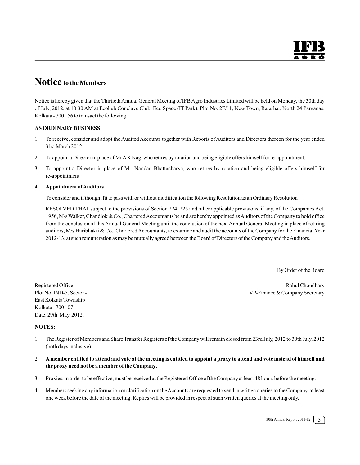## **Notice to the Members**

Notice is hereby given that the ThirtiethAnnual General Meeting of IFB Agro Industries Limited will be held on Monday, the 30th day of July, 2012, at 10.30 AM at Ecohub Conclave Club, Eco Space (IT Park), Plot No. 2F/11, New Town, Rajarhat, North 24 Parganas, Kolkata - 700 156 to transact the following:

#### **AS ORDINARY BUSINESS:**

- 1. To receive, consider and adopt the Audited Accounts together with Reports of Auditors and Directors thereon for the year ended 31st March 2012.
- 2. To appoint a Director in place of Mr A K Nag, who retires by rotation and being eligible offers himself for re-appointment.
- 3. To appoint a Director in place of Mr. Nandan Bhattacharya, who retires by rotation and being eligible offers himself for re-appointment.

#### 4. **Appointment of Auditors**

To consider and if thought fit to pass with or without modification the following Resolution as an Ordinary Resolution :

RESOLVED THAT subject to the provisions of Section 224, 225 and other applicable provisions, if any, of the Companies Act, 1956, M/s Walker, Chandiok & Co., Chartered Accountants be and are hereby appointed as Auditors of the Company to hold office from the conclusion of this Annual General Meeting until the conclusion of the next Annual General Meeting in place of retiring auditors, M/s Haribhakti & Co., Chartered Accountants, to examine and audit the accounts of the Company for the Financial Year 2012-13, at such remuneration as may be mutually agreed between the Board of Directors of the Company and the Auditors.

By Order of the Board

Registered Office: **Rahul Choudhary** Rahul Choudhary Plot No. IND-5, Sector - 1 VP-Finance & Company Secretary

East Kolkata Township Kolkata - 700 107 Date: 29th May, 2012.

#### **NOTES:**

- 1. The Register of Members and Share Transfer Registers of the Company will remain closed from 23rd July, 2012 to 30th July, 2012 (both days inclusive).
- 2. **A member entitled to attend and vote at the meeting is entitled to appoint a proxy to attend and vote instead of himself and the proxy need not be a member of the Company**.
- 3 Proxies, in order to be effective, must be received at the Registered Office of the Company at least 48 hours before the meeting.
- 4. Members seeking any information or clarification on the Accounts are requested to send in written queries to the Company, at least one week before the date of the meeting. Replies will be provided in respect of such written queries at the meeting only.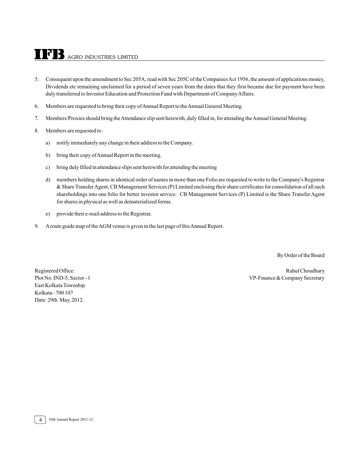## AGRO INDUSTRIES LIMITED

- 5. Consequent upon the amendment to Sec 205A, read with Sec 205C of the Companies Act 1956, the amount of applications money, Dividends etc remaining unclaimed for a period of seven years from the dates that they first became due for payment have been duly transferred to Investor Education and Protection Fund with Department of Company Affairs.
- 6. Members are requested to bring their copy of Annual Report to the Annual General Meeting.
- 7. Members/Proxies should bring the Attendance slip sent herewith, duly filled in, for attending the Annual General Meeting.

#### 8. Members are requested to :

- a) notify immediately any change in their address to the Company.
- b) bring their copy of Annual Report in the meeting.
- c) bring duly filled in attendance slips sent herewith for attending the meeting
- d) members holding shares in identical order of names in more than one Folio are requested to write to the Company's Registrar & Share TransferAgent, CB Management Services (P) Limited enclosing their share certificates for consolidation of all such shareholdings into one folio for better investor service. CB Management Services (P) Limited is the Share Transfer Agent for shares in physical as well as dematerialized forms.
- e) provide their e-mail address to the Registrar.
- 9. A route guide map of the AGM venue is given in the last page of this Annual Report.

By Order of the Board

East Kolkata Township Kolkata - 700 107 Date: 29th May, 2012.

Registered Office: The Choudhary Rahul Choudhary Rahul Choudhary Plot No. IND-5, Sector - 1 VP-Finance & Company Secretary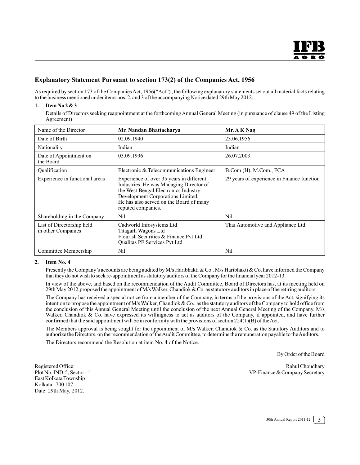#### **Explanatory Statement Pursuant to section 173(2) of the Companies Act, 1956**

As required by section 173 of the Companies Act, 1956("Act") , the following explanatory statements set out all material facts relating to the business mentioned under items nos. 2, and 3 of the accompanying Notice dated 29th May 2012.

#### **1. Item No 2 & 3**

Details of Directors seeking reappointment at the forthcoming Annual General Meeting (in pursuance of clause 49 of the Listing Agreement)

| Name of the Director                            | Mr. Nandan Bhattacharya                                                                                                                                                                                                           | Mr. A K Nag                                |
|-------------------------------------------------|-----------------------------------------------------------------------------------------------------------------------------------------------------------------------------------------------------------------------------------|--------------------------------------------|
| Date of Birth                                   | 02.09.1940                                                                                                                                                                                                                        | 23.06.1956                                 |
| Nationality                                     | Indian                                                                                                                                                                                                                            | Indian                                     |
| Date of Appointment on<br>the Board             | 03.09.1996                                                                                                                                                                                                                        | 26.07.2003                                 |
| Qualification                                   | Electronic & Telecommunications Engineer                                                                                                                                                                                          | B.Com (H), M.Com., FCA                     |
| Experience in functional areas                  | Experience of over 35 years in different<br>Industries. He was Managing Director of<br>the West Bengal Electronics Industry<br>Development Corporations Limited.<br>He has also served on the Board of many<br>reputed companies. | 29 years of experience in Finance function |
| Shareholding in the Company                     | Nil                                                                                                                                                                                                                               | Nil                                        |
| List of Directorship held<br>in other Companies | Cadworld Infosystems Ltd<br>Titagarh Wagons Ltd<br>Flourish Securities & Finance Pvt Ltd<br>Qualitas PE Services Pvt Ltd                                                                                                          | Thai Automotive and Appliance Ltd          |
| Committee Membership                            | Nil                                                                                                                                                                                                                               | Nil                                        |

#### **2. Item No. 4**

Presently the Company's accounts are being audited by M/s Haribhakti & Co.. M/s Haribhakti & Co. have informed the Company that they do not wish to seek re-appointment as statutory auditors of the Company for the financial year 2012-13.

In view of the above, and based on the recommendation of the Audit Committee, Board of Directors has, at its meeting held on 29th May 2012,proposed the appointment of M/s Walker, Chandiok & Co. as statutory auditors in place of the retiring auditors.

The Company has received a special notice from a member of the Company, in terms of the provisions of the Act, signifying its intention to propose the appointment of M/s Walker, Chandiok & Co., as the statutory auditors of the Company to hold office from the conclusion of this Annual General Meeting until the conclusion of the next Annual General Meeting of the Company. M/s Walker, Chandiok & Co. have expressed its willingness to act as auditors of the Company, if appointed, and have further confirmed that the said appointment will be in conformity with the provisions of section  $224(1)(B)$  of the Act.

The Members approval is being sought for the appointment of M/s Walker, Chandiok & Co. as the Statutory Auditors and to authorize the Directors, on the recommendation of the Audit Committee, to determine the remuneration payable to the Auditors.

The Directors recommend the Resolution at item No. 4 of the Notice.

By Order of the Board

East Kolkata Township Kolkata - 700 107 Date: 29th May, 2012.

Registered Office: Rahul Choudhary Plot No. IND-5, Sector - 1 VP-Finance & Company Secretary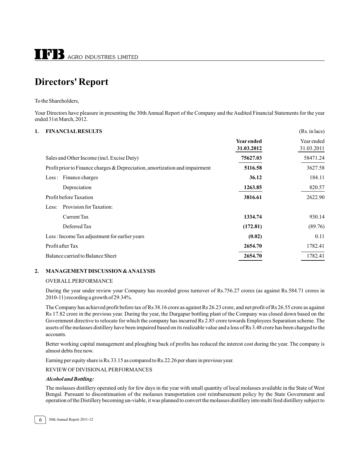## **Directors' Report**

To the Shareholders,

Your Directors have pleasure in presenting the 30th Annual Report of the Company and the Audited Financial Statements for the year ended 31st March, 2012.

#### **1. FINANCIAL RESULTS** (Rs. in lacs)

|                                                                               | <b>Year ended</b><br>31.03.2012 | Year ended<br>31.03.2011 |
|-------------------------------------------------------------------------------|---------------------------------|--------------------------|
| Sales and Other Income (incl. Excise Duty)                                    | 75627.03                        | 58471.24                 |
| Profit prior to Finance charges $&$ Depreciation, amortization and impairment | 5116.58                         | 3627.58                  |
| Less: Finance charges                                                         | 36.12                           | 184.11                   |
| Depreciation                                                                  | 1263.85                         | 820.57                   |
| Profit before Taxation                                                        | 3816.61                         | 2622.90                  |
| Provision for Taxation:<br>Less:                                              |                                 |                          |
| Current Tax                                                                   | 1334.74                         | 930.14                   |
| Deferred Tax                                                                  | (172.81)                        | (89.76)                  |
| Less: Income Tax adjustment for earlier years                                 | (0.02)                          | 0.11                     |
| Profit after Tax                                                              | 2654.70                         | 1782.41                  |
| Balance carried to Balance Sheet                                              | 2654.70                         | 1782.41                  |

#### **2. MANAGEMENT DISCUSSION & ANALYSIS**

#### OVERALL PERFORMANCE

During the year under review your Company has recorded gross turnover of Rs.756.27 crores (as against Rs.584.71 crores in 2010-11) recording a growth of 29.34%.

The Company has achieved profit before tax of Rs 38.16 crore as against Rs 26.23 crore, and net profit of Rs 26.55 crore as against Rs 17.82 crore in the previous year. During the year, the Durgapur bottling plant of the Company was closed down based on the Government directive to relocate for which the company has incurred Rs 2.85 crore towards Employees Separation scheme. The assets of the molasses distillery have been impaired based on its realizable value and a loss of Rs 3.48 crore has been charged to the accounts.

Better working capital management and ploughing back of profits has reduced the interest cost during the year. The company is almost debts free now.

Earning per equity share is Rs.33.15 as compared to Rs.22.26 per share in previous year.

REVIEW OF DIVISIONAL PERFORMANCES

#### *Alcohol and Bottling:*

The molasses distillery operated only for few days in the year with small quantity of local molasses available in the State of West Bengal. Pursuant to discontinuation of the molasses transportation cost reimbursement policy by the State Government and operation of the Distillery becoming un-viable, it was planned to convert the molasses distillery into multi feed distillery subject to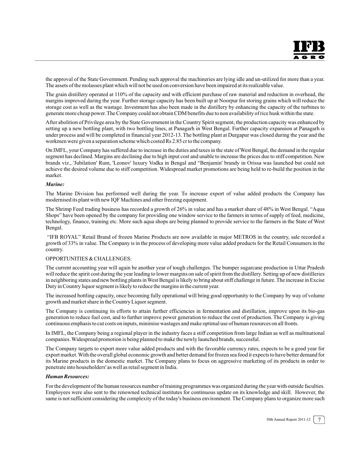the approval of the State Government. Pending such approval the machineries are lying idle and un-utilized for more than a year. The assets of the molasses plant which will not be used on conversion have been impaired at its realizable value.

The grain distillery operated at 110% of the capacity and with efficient purchase of raw material and reduction in overhead, the margins improved during the year. Further storage capacity has been built up at Noorpur for storing grains which will reduce the storage cost as well as the wastage. Investment has also been made in the distillery by enhancing the capacity of the turbines to generate more cheap power. The Company could not obtain CDM benefits due to non availability of rice husk within the state.

After abolition of Privilege area by the State Government in the Country Spirit segment, the production capacity was enhanced by setting up a new bottling plant, with two bottling lines, at Panagarh in West Bengal. Further capacity expansion at Panagarh is under process and will be completed in financial year 2012-13. The bottling plant at Durgapur was closed during the year and the workmen were given a separation scheme which costed Rs 2.85 cr to the company.

On IMFL, your Company has suffered due to increase in the duties and taxes in the state of West Bengal, the demand in the regular segment has declined. Margins are declining due to high input cost and unable to increase the prices due to stiff competition. New brands viz., 'Jubilation' Rum, 'Leonov' luxury Vodka in Bengal and "Benjamin' brandy in Orissa was launched but could not achieve the desired volume due to stiff competition. Widespread market promotions are being held to re-build the position in the market.

#### *Marine:*

The Marine Division has performed well during the year. To increase export of value added products the Company has modernised its plant with new IQF Machines and other freezing equipment.

The Shrimp Feed trading business has recorded a growth of 26% in value and has a market share of 48% in West Bengal. "Aqua Shops" have been opened by the company for providing one window service to the farmers in terms of supply of feed, medicine, technology, finance, training etc. More such aqua shops are being planned to provide service to the farmers in the State of West Bengal.

 "IFB ROYAL" Retail Brand of frozen Marine Products are now available in major METROS in the country, sale recorded a growth of 33% in value. The Company is in the process of developing more value added products for the Retail Consumers in the country.

#### OPPORTUNITIES & CHALLENGES:

The current accounting year will again be another year of tough challenges. The bumper sugarcane production in Uttar Pradesh will reduce the spirit cost during the year leading to lower margins on sale of spirit from the distillery. Setting up of new distilleries in neighboring states and new bottling plants in West Bengal is likely to bring about stiff challenge in future. The increase in Excise Duty in Country liquor segment is likely to reduce the margins in the current year.

The increased bottling capacity, once becoming fully operational will bring good opportunity to the Company by way of volume growth and market share in the Country Liquor segment.

The Company is continuing its efforts to attain further efficiencies in fermentation and distillation, improve upon its bio-gas generation to reduce fuel cost, and to further improve power generation to reduce the cost of production. The Company is giving continuous emphasis to cut costs on inputs, minimise wastages and make optimal use of human resources on all fronts.

In IMFL, the Company being a regional player in the industry faces a stiff competition from large Indian as well as multinational companies. Widespread promotion is being planned to make the newly launched brands, successful.

The Company targets to export more value added products and with the favorable currency rates, expects to be a good year for export market. With the overall global economic growth and better demand for frozen sea food it expects to have better demand for its Marine products in the domestic market. The Company plans to focus on aggressive marketing of its products in order to penetrate into householders' as well as retail segment in India.

#### *Human Resources:*

For the development of the human resources number of training programmes was organized during the year with outside faculties. Employees were also sent to the renowned technical institutes for continuous update on its knowledge and skill. However, the same is not sufficient considering the complexity of the today's business environment. The Company plans to organize more such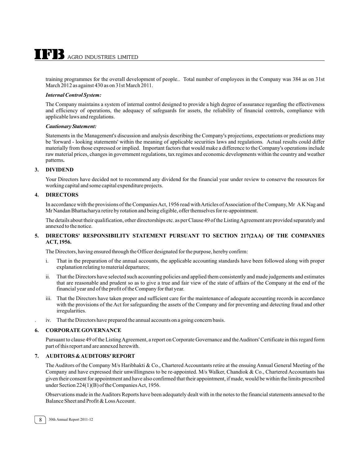training programmes for the overall development of people.. Total number of employees in the Company was 384 as on 31st March 2012 as against 430 as on 31st March 2011.

#### *Internal Control System:*

The Company maintains a system of internal control designed to provide a high degree of assurance regarding the effectiveness and efficiency of operations, the adequacy of safeguards for assets, the reliability of financial controls, compliance with applicable laws and regulations.

#### *Cautionary Statement:*

Statements in the Management's discussion and analysis describing the Company's projections, expectations or predictions may be 'forward - looking statements' within the meaning of applicable securities laws and regulations. Actual results could differ materially from those expressed or implied. Important factors that would make a difference to the Company's operations include raw material prices, changes in government regulations, tax regimes and economic developments within the country and weather patterns**.**

#### **3. DIVIDEND**

Your Directors have decided not to recommend any dividend for the financial year under review to conserve the resources for working capital and some capital expenditure projects.

#### **4. DIRECTORS**

In accordance with the provisions of the Companies Act, 1956 read with Articles of Association of the Company, Mr A K Nag and Mr Nandan Bhattacharya retire by rotation and being eligible, offer themselves for re-appointment.

The details about their qualification, other directorships etc. as per Clause 49 of the Listing Agreement are provided separately and annexed to the notice.

#### **5. DIRECTORS' RESPONSIBILITY STATEMENT PURSUANT TO SECTION 217(2AA) OF THE COMPANIES ACT, 1956.**

The Directors, having ensured through the Officer designated for the purpose, hereby confirm:

- i. That in the preparation of the annual accounts, the applicable accounting standards have been followed along with proper explanation relating to material departures;
- ii. That the Directors have selected such accounting policies and applied them consistently and made judgements and estimates that are reasonable and prudent so as to give a true and fair view of the state of affairs of the Company at the end of the financial year and of the profit of the Company for that year.
- iii. That the Directors have taken proper and sufficient care for the maintenance of adequate accounting records in accordance with the provisions of the Act for safeguarding the assets of the Company and for preventing and detecting fraud and other irregularities.
- iv. That the Directors have prepared the annual accounts on a going concern basis.

#### **6. CORPORATE GOVERNANCE**

Pursuant to clause 49 of the Listing Agreement, a report on Corporate Governance and the Auditors' Certificate in this regard form part of this report and are annexed herewith.

#### **7. AUDITORS & AUDITORS' REPORT**

The Auditors of the Company M/s Haribhakti & Co., Chartered Accountants retire at the ensuing Annual General Meeting of the Company and have expressed their unwillingness to be re-appointed. M/s Walker, Chandiok & Co., Chartered Accountants has given their consent for appointment and have also confirmed that their appointment, if made, would be within the limits prescribed under Section 224(1)(B) of the Companies Act, 1956.

Observations made in the Auditors Reports have been adequately dealt with in the notes to the financial statements annexed to the Balance Sheet and Profit & Loss Account.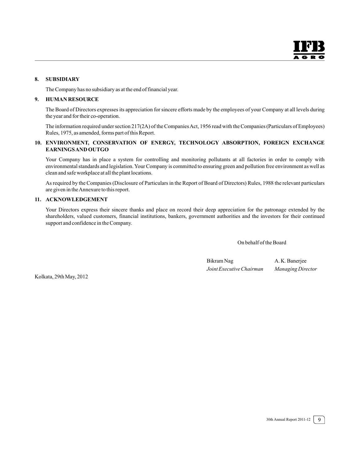#### **8. SUBSIDIARY**

The Company has no subsidiary as at the end of financial year.

#### **9. HUMAN RESOURCE**

The Board of Directors expresses its appreciation for sincere efforts made by the employees of your Company at all levels during the year and for their co-operation.

The information required under section 217(2A) of the Companies Act, 1956 read with the Companies (Particulars of Employees) Rules, 1975, as amended, forms part of this Report.

#### **10. ENVIRONMENT, CONSERVATION OF ENERGY, TECHNOLOGY ABSORPTION, FOREIGN EXCHANGE EARNINGS AND OUTGO**

Your Company has in place a system for controlling and monitoring pollutants at all factories in order to comply with environmental standards and legislation. Your Company is committed to ensuring green and pollution free environment as well as clean and safe workplace at all the plant locations.

As required by the Companies (Disclosure of Particulars in the Report of Board of Directors) Rules, 1988 the relevant particulars are given in the Annexure to this report.

#### **11. ACKNOWLEDGEMENT**

Your Directors express their sincere thanks and place on record their deep appreciation for the patronage extended by the shareholders, valued customers, financial institutions, bankers, government authorities and the investors for their continued support and confidence in the Company.

On behalf of the Board

Bikram Nag A. K. Banerjee *Joint Executive Chairman Managing Director*

Kolkata, 29th May, 2012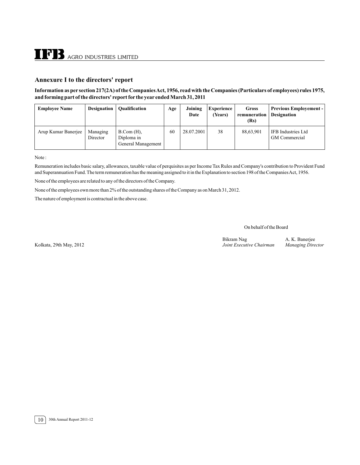#### **Annexure I to the directors' report**

#### **Information as per section 217(2A) of the Companies Act, 1956, read with the Companies (Particulars of employees) rules 1975, and forming part of the directors' report for the year ended March 31, 2011**

| <b>Employee Name</b> | <b>Designation</b>   | <b>Qualification</b>                                    | Age | Joining<br>Date | <b>Experience</b><br>(Years) | <b>Gross</b><br>remuneration<br>(Rs) | <b>Previous Employement -</b><br><b>Designation</b> |
|----------------------|----------------------|---------------------------------------------------------|-----|-----------------|------------------------------|--------------------------------------|-----------------------------------------------------|
| Arup Kumar Banerjee  | Managing<br>Director | $B_{\cdot}Com(H)$ ,<br>Diploma in<br>General Management | 60  | 28.07.2001      | 38                           | 88,63,901                            | IFB Industries Ltd<br>GM Commercial                 |

Note :

Remuneration includes basic salary, allowances, taxable value of perquisites as per Income Tax Rules and Company's contribution to Provident Fund and Superannuation Fund. The term remuneration has the meaning assigned to it in the Explanation to section 198 of the Companies Act, 1956.

None of the employees are related to any of the directors of the Company.

None of the employees own more than 2% of the outstanding shares of the Company as on March 31, 2012.

The nature of employment is contractual in the above case.

On behalf of the Board

Kolkata, 29th May, 2012

Bikram Nag A. K. Banerjee<br>
Joint Executive Chairman Managing Director

10 30th Annual Report 2011-12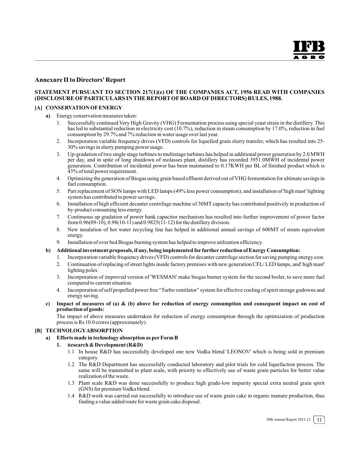#### **Annexure II to Directors' Report**

#### **STATEMENT PURSUANT TO SECTION 217(1)(e) OF THE COMPANIES ACT, 1956 READ WITH COMPANIES (DISCLOSURE OF PARTICULARS IN THE REPORT OF BOARD OF DIRECTORS) RULES, 1988.**

#### **[A] CONSERVATION OF ENERGY**

- **a)** Energy conservation measures taken:
	- 1. Successfully continued Very High Gravity (VHG) Fermentation process using special yeast strain in the distillery. This has led to substantial reduction in electricity cost (10.7%), reduction in steam consumption by 17.0%, reduction in fuel consumption by 29.7% and 7% reduction in water usage over last year.
	- 2. Incorporation variable frequency drives (VFD) controls for liquefied grain slurry transfer, which has resulted into 25- 30% savings in slurry pumping power usage.
	- 3. Up-gradation of two single stage turbines to multistage turbines has helped in additional power generation by 2.0 MWH per day, and in spite of long shutdown of molasses plant, distillery has recorded 3951.0MWH of incidental power generation. Contribution of incidental power has been maintained to 0.17KWH per BL of finished product which is 43% of total power requirement.
	- 4. Optimizing the generation of Biogas using grain based effluent derived out of VHG fermentation for ultimate savings in fuel consumption.
	- 5. Part replacement of SON lamps with LED lamps (49% less power consumption), and installation of 'high mast' lighting system has contributed to power savings.
	- 6. Installation of high efficient decanter centrifuge machine of 30MT capacity has contributed positively in production of by-product consuming less energy.
	- 7. Continuous up gradation of power bank capacitor mechanism has resulted into further improvement of power factor from  $0.96(09-10)$ ,  $0.98(10-11)$  and  $0.9825(11-12)$  for the distillery division.
	- 8. New insulation of hot water recycling line has helped in additional annual savings of 600MT of steam equivalent energy.
	- 9. Installation of over bed Biogas burning system has helped to improve utilization efficiency.

#### **b) Additional investment proposals, if any, being implemented for further reduction of Energy Consumption:**

- 1. Incorporation variable frequency drives (VFD) controls for decanter centrifuge section for saving pumping energy cost.
- 2. Continuation of replacing of street lights inside factory premises with new generation CFL/ LED lamps, and' high mast' lighting poles.
- 3. Incorporation of improved version of 'WESMAN' make biogas burner system for the second boiler, to save more fuel compared to current situation.
- 4. Incorporation of self propelled power free "Turbo ventilator" system for effective cooling of spirit storage godowns and energy saving.
- **c) Impact of measures of (a) & (b) above for reduction of energy consumption and consequent impact on cost of production of goods:**

The impact of above measures undertaken for reduction of energy consumption through the optimization of production process is Rs 10.0 crores (approximately).

#### **[B] TECHNOLOGY ABSORPTION**

#### **a) Efforts made in technology absorption as per Form B**

- **1. Research & Development (R&D)**
	- 1.1 In house R&D has successfully developed one new Vodka blend 'LEONOV' which is being sold in premium category.
	- 1.2 The R&D Department has successfully conducted laboratory and pilot trials for cold liquefaction process. The same will be transmitted to plant scale, with priority to effectively use of waste grain particles for better value realization of the waste.
	- 1.3 Plant scale R&D was done successfully to produce high grade-low impurity special extra neutral grain spirit (GNS) for premium Vodka blend.
	- 1.4 R&D work was carried out successfully to introduce use of waste grain cake in organic manure production, thus finding a value added route for waste grain cake disposal.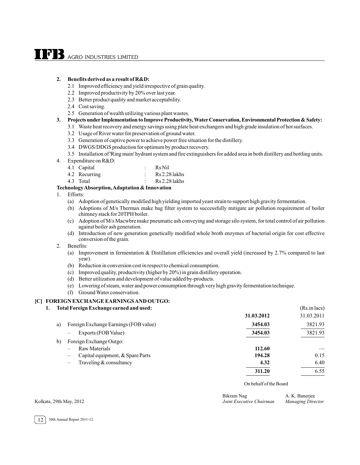# **TPB** AGRO INDUSTRIES LIMITED

#### **2. Benefits derived as a result of R&D:**

- 2.1 Improved efficiency and yield irrespective of grain quality.
- 2.2 Improved productivity by 20% over last year.
- 2.3 Better product quality and market acceptability.
- 2.4 Cost saving.
- 2.5 Generation of wealth utilizing various plant wastes.

#### **3. Projects under Implementation to Improve Productivity, Water Conservation, Environmental Protection & Safety:**

- 3.1 Waste heat recovery and energy savings using plate heat exchangers and high grade insulation of hot surfaces.
	- 3.2 Usage of River water for preservation of ground water.
	- 3.3 Generation of captive power to achieve power free situation for the distillery.
	- 3.4 DWGS/DDGS production for optimum by product recovery.
- 3.5 Installation of 'Ring main' hydrant system and fire extinguishers for added area in both distillery and bottling units.
- 4. Expenditure on R&D:

| 4.1 Capital   | Rs Nil        |
|---------------|---------------|
| 4.2 Recurring | Rs 2.28 lakhs |

4.3 Total : Rs 2.28 lakhs

#### **Technology Absorption, Adaptation & Innovation**

- 1. Efforts:
	- (a) Adoption of genetically modified high yielding imported yeast strain to support high gravity fermentation.
	- (b) Adoptions of M/s Thermax make bag filter system to successfully mitigate air pollution requirement of boiler chimney stack for 20TPH boiler.
	- (c) Adoption of M/s Macwbre make pneumatic ash conveying and storage silo system, for total control of air pollution against boiler ash generation.
	- (d) Introduction of new generation genetically modified whole broth enzymes of bacterial origin for cost effective conversion of the grain.
- 2. Benefits:
	- (a) Improvement in fermentation & Distillation efficiencies and overall yield (increased by 2.7% compared to last year).
	- (b) Reduction in conversion cost in respect to chemical consumption.
	- (c) Improved quality, productivity (higher by 20%) in grain distillery operation.
	- (d) Better utilization and development of value added by-products.
	- (e) Lowering of steam, water and power consumption through very high gravity fermentation technique.
	- (f) Ground Water conservation.

#### **[C] FOREIGN EXCHANGE EARNINGS AND OUTGO:**

| 1. | Total Foreign Exchange earned and used:                      |            | (Rs.in lacs) |
|----|--------------------------------------------------------------|------------|--------------|
|    |                                                              | 31.03.2012 | 31.03.2011   |
|    | Foreign Exchange Earnings (FOB value)<br>a)                  | 3454.03    | 3821.93      |
|    | Exports (FOB Value)<br>$\overline{\phantom{0}}$              | 3454.03    | 3821.93      |
|    | Foreign Exchange Outgo:<br>b)                                |            |              |
|    | Raw Materials                                                | 112.60     |              |
|    | Capital equipment, & Spare Parts<br>$\overline{\phantom{0}}$ | 194.28     | 0.15         |
|    | Traveling $&$ consultancy<br>$\qquad \qquad -$               | 4.32       | 6.40         |
|    |                                                              | 311.20     | 6.55         |
|    |                                                              |            |              |

On behalf of the Board

| Bikram Nag               | A. K. Banerjee           |
|--------------------------|--------------------------|
| Joint Executive Chairman | <b>Managing Director</b> |

Kolkata, 29th May, 2012 *Joint Executive Chairman Managing Director*

12 30th Annual Report 2011-12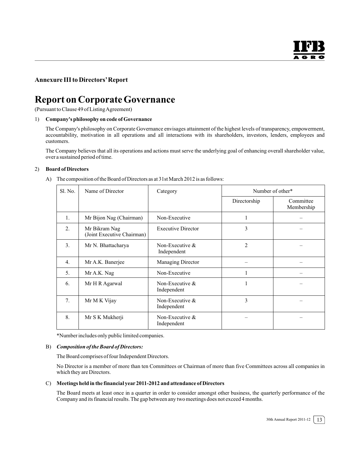#### **Annexure III to Directors' Report**

## **Report on Corporate Governance**

(Pursuant to Clause 49 of Listing Agreement)

#### 1) **Company's philosophy on code of Governance**

The Company's philosophy on Corporate Governance envisages attainment of the highest levels of transparency, empowerment, accountability, motivation in all operations and all interactions with its shareholders, investors, lenders, employees and customers.

The Company believes that all its operations and actions must serve the underlying goal of enhancing overall shareholder value, over a sustained period of time.

#### 2) **Board of Directors**

A) The composition of the Board of Directors as at 31st March 2012 is as follows:

| Sl. No.          | Name of Director                            | Number of other*<br>Category      |                |                         |
|------------------|---------------------------------------------|-----------------------------------|----------------|-------------------------|
|                  |                                             |                                   | Directorship   | Committee<br>Membership |
| 1.               | Mr Bijon Nag (Chairman)                     | Non-Executive                     |                |                         |
| 2.               | Mr Bikram Nag<br>(Joint Executive Chairman) | <b>Executive Director</b>         | 3              |                         |
| 3.               | Mr N. Bhattacharya                          | Non-Executive $\&$<br>Independent | $\overline{2}$ |                         |
| $\overline{4}$ . | Mr A.K. Banerjee                            | Managing Director                 |                |                         |
| 5.               | Mr A.K. Nag                                 | Non-Executive                     | 1              |                         |
| 6.               | Mr H R Agarwal                              | Non-Executive $\&$<br>Independent | 1              |                         |
| 7.               | Mr M K Vijay                                | Non-Executive $\&$<br>Independent | 3              |                         |
| 8.               | Mr S K Mukherji                             | Non-Executive $\&$<br>Independent |                |                         |

\*Number includes only public limited companies.

#### B) *Composition of the Board of Directors:*

The Board comprises of four Independent Directors.

No Director is a member of more than ten Committees or Chairman of more than five Committees across all companies in which they are Directors.

#### C) **Meetings held in the financial year 2011-2012 and attendance of Directors**

The Board meets at least once in a quarter in order to consider amongst other business, the quarterly performance of the Company and its financial results. The gap between any two meetings does not exceed 4 months.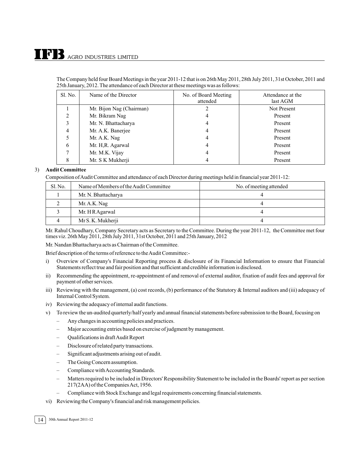| The Company held four Board Meetings in the year 2011-12 that is on 26th May 2011, 28th July 2011, 31st October, 2011 and |
|---------------------------------------------------------------------------------------------------------------------------|
| 25th January, 2012. The attendance of each Director at these meetings was as follows:                                     |

| Sl. No. | Name of the Director     | No. of Board Meeting<br>attended | Attendance at the<br>last AGM |
|---------|--------------------------|----------------------------------|-------------------------------|
|         | Mr. Bijon Nag (Chairman) |                                  | Not Present                   |
| ↑       | Mr. Bikram Nag           | 4                                | Present                       |
|         | Mr. N. Bhattacharya      | 4                                | Present                       |
| 4       | Mr. A.K. Banerjee        | 4                                | Present                       |
|         | Mr. A.K. Nag             | 4                                | Present                       |
| 6       | Mr. H, R. Agarwal        | 4                                | Present                       |
|         | Mr. M.K. Vijay           | 4                                | Present                       |
|         | Mr. S K Mukherji         |                                  | Present                       |

#### 3) **Audit Committee**

Composition of Audit Committee and attendance of each Director during meetings held in financial year 2011-12:

| S1. No. | Name of Members of the Audit Committee | No. of meeting attended |
|---------|----------------------------------------|-------------------------|
|         | Mr. N. Bhattacharya                    |                         |
|         | Mr. A.K. Nag                           |                         |
|         | Mr. H R Agarwal                        |                         |
|         | Mr S. K. Mukherji                      |                         |

Mr. Rahul Choudhary, Company Secretary acts as Secretary to the Committee. During the year 2011-12, the Committee met four times viz. 26th May 2011, 28th July 2011, 31st October, 2011 and 25th January, 2012

Mr. Nandan Bhattacharya acts as Chairman of the Committee.

Brief description of the terms of reference to the Audit Committee:-

- i) Overview of Company's Financial Reporting process & disclosure of its Financial Information to ensure that Financial Statements reflect true and fair position and that sufficient and credible information is disclosed.
- ii) Recommending the appointment, re-appointment of and removal of external auditor, fixation of audit fees and approval for payment of other services.
- iii) Reviewing with the management, (a) cost records, (b) performance of the Statutory & Internal auditors and (iii) adequacy of Internal Control System.
- iv) Reviewing the adequacy of internal audit functions.
- v) To review the un-audited quarterly/half yearly and annual financial statements before submission to the Board, focusing on
	- Any changes in accounting policies and practices.
	- Major accounting entries based on exercise of judgment by management.
	- Qualifications in draft Audit Report
	- Disclosure of related party transactions.
	- Significant adjustments arising out of audit.
	- The Going Concern assumption.
	- Compliance with Accounting Standards.
	- Matters required to be included in Directors' Responsibility Statement to be included in the Boards' report as per section 217(2AA) of the Companies Act, 1956.
	- Compliance with Stock Exchange and legal requirements concerning financial statements.
- vi) Reviewing the Company's financial and risk management policies.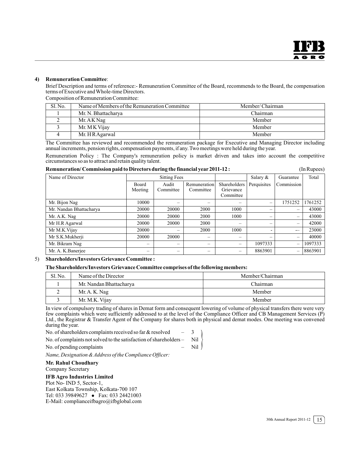#### **4) Remuneration Committee**:

Brief Description and terms of reference:- Remuneration Committee of the Board, recommends to the Board, the compensation terms of Executive and Whole-time Directors.

Composition of Remuneration Committee:

| S1. No. | Name of Members of the Remuneration Committee | Member/Chairman |
|---------|-----------------------------------------------|-----------------|
|         | Mr. N. Bhattacharya                           | Chairman        |
|         | Mr. A K Nag                                   | Member          |
|         | Mr. MK Vijay                                  | Member          |
|         | Mr. H R Agarwal                               | Member          |

The Committee has reviewed and recommended the remuneration package for Executive and Managing Director including annual increments, pension rights, compensation payments, if any. Two meetings were held during the year.

Remuneration Policy : The Company's remuneration policy is market driven and takes into account the competitive circumstances so as to attract and retain quality talent.

| Remuneration/Commission paid to Directors during the financial year 2011-12 : | (InRupees) |
|-------------------------------------------------------------------------------|------------|
|-------------------------------------------------------------------------------|------------|

| Name of Director        | <b>Sitting Fees</b>      |           |              | Salary &                 | Guarantee                | Total                    |         |
|-------------------------|--------------------------|-----------|--------------|--------------------------|--------------------------|--------------------------|---------|
|                         | <b>Board</b>             | Audit     | Remuneration | Shareholders             | Perquisites              | Commission               |         |
|                         | Meeting                  | Committee | Committee    | Grievance                |                          |                          |         |
|                         |                          |           |              | Committee                |                          |                          |         |
| Mr. Bijon Nag           | 10000                    |           |              | —                        | $\equiv$                 | 1751252                  | 1761252 |
| Mr. Nandan Bhattacharya | 20000                    | 20000     | 2000         | 1000                     | $\overline{\phantom{0}}$ | $\overline{\phantom{0}}$ | 43000   |
| Mr. A.K. Nag            | 20000                    | 20000     | 2000         | 1000                     | $\qquad \qquad -$        | $\qquad \qquad =$        | 43000   |
| Mr H.R Agarwal          | 20000                    | 20000     | 2000         | -                        | $\overline{\phantom{0}}$ | $\overline{\phantom{m}}$ | 42000   |
| Mr M.K. Vijay           | 20000                    |           | 2000         | 1000                     | $\overline{\phantom{0}}$ | $\overline{\phantom{0}}$ | 23000   |
| Mr S.K.Mukherji         | 20000                    | 20000     | -            | $\overline{\phantom{0}}$ | $\overline{\phantom{0}}$ | $\overline{\phantom{m}}$ | 40000   |
| Mr. Bikram Nag          | $\overline{\phantom{0}}$ |           |              | $\overline{\phantom{0}}$ | 1097333                  | $\overline{\phantom{m}}$ | 1097333 |
| Mr. A. K. Banerjee      | $\overline{\phantom{0}}$ |           | -            | $\overline{\phantom{0}}$ | 8863901                  | $\overline{\phantom{m}}$ | 8863901 |

#### 5) **Shareholders/Investors Grievance Committee :**

**The Shareholders/Investors Grievance Committee comprises of the following members:**

| S1. No. | Name of the Director    | Member/Chairman |  |
|---------|-------------------------|-----------------|--|
|         | Mr. Nandan Bhattacharya | Chairman        |  |
|         | Mr. A. K. Nag           | Member          |  |
|         | Mr. M.K. Vijay          | Member          |  |

In view of compulsory trading of shares in Demat form and consequent lowering of volume of physical transfers there were very few complaints which were sufficiently addressed to at the level of the Compliance Officer and CB Management Services (P) Ltd., the Registrar & Transfer Agent of the Company for shares both in physical and demat modes. One meeting was convened during the year.

 $\left($ 

No. of shareholders complaints received so far  $&$  resolved  $\qquad - \quad 3$ No. of complaints not solved to the satisfaction of shareholders – Nil No. of pending complaints – Nil

*Name, Designation & Address of the Compliance Officer:*

#### **Mr. Rahul Choudhary**

Company Secretary

#### **IFB Agro Industries Limited**

Plot No- IND 5, Sector-1, East Kolkata Township, Kolkata-700 107 Tel: 033 39849627 • Fax: 033 24421003 E-Mail: complianceifbagro@ifbglobal.com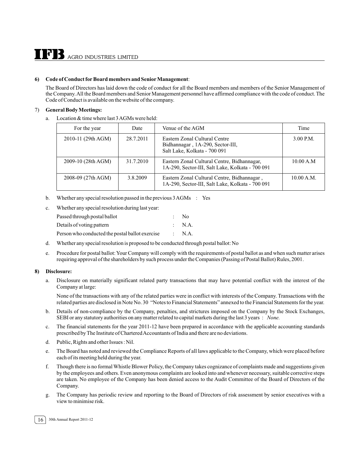#### **6) Code of Conduct for Board members and Senior Management**:

The Board of Directors has laid down the code of conduct for all the Board members and members of the Senior Management of the Company.All the Board members and Senior Management personnel have affirmed compliance with the code of conduct. The Code of Conduct is available on the website of the company.

#### 7) **General Body Meetings:**

a. Location & time where last 3 AGMs were held:

| For the year       | Date      | Venue of the AGM                                                                                  | Time        |
|--------------------|-----------|---------------------------------------------------------------------------------------------------|-------------|
| 2010-11 (29th AGM) | 28.7.2011 | Eastern Zonal Cultural Centre<br>Bidhannagar, 1A-290, Sector-III,<br>Salt Lake, Kolkata - 700 091 | $3.00$ P.M. |
| 2009-10 (28th AGM) | 31.7.2010 | Eastern Zonal Cultural Centre, Bidhannagar,<br>1A-290, Sector-III, Salt Lake, Kolkata - 700 091   | 10.00 A.M   |
| 2008-09 (27th AGM) | 3.8.2009  | Eastern Zonal Cultural Centre, Bidhannagar,<br>1A-290, Sector-III, Salt Lake, Kolkata - 700 091   | 10.00 A.M.  |

- b. Whether any special resolution passed in the previous  $3\text{ AGMs}$ : Yes
- c. Whether any special resolution during last year:

| Passed through postal ballot                    | $\sim$ | - No              |
|-------------------------------------------------|--------|-------------------|
| Details of voting pattern                       |        | $\therefore$ N.A. |
| Person who conducted the postal ballot exercise |        | $\therefore$ N.A. |

- d. Whether any special resolution is proposed to be conducted through postal ballot: No
- e. Procedure for postal ballot: Your Company will comply with the requirements of postal ballot as and when such matter arises requiring approval of the shareholders by such process under the Companies (Passing of Postal Ballot) Rules, 2001.

#### **8) Disclosure:**

a. Disclosure on materially significant related party transactions that may have potential conflict with the interest of the Company at large:

None of the transactions with any of the related parties were in conflict with interests of the Company. Transactions with the related parties are disclosed in Note No. 30 "Notes to Financial Statements" annexed to the Financial Statements for the year.

- b. Details of non-compliance by the Company, penalties, and strictures imposed on the Company by the Stock Exchanges, SEBI or any statutory authorities on any matter related to capital markets during the last 3 years : *None.*
- c. The financial statements for the year 2011-12 have been prepared in accordance with the applicable accounting standards prescribed by The Institute of Chartered Accountants of India and there are no deviations.
- d. Public, Rights and other Issues : Nil.
- e. The Board has noted and reviewed the Compliance Reports of all laws applicable to the Company, which were placed before each of its meeting held during the year.
- f. Though there is no formal Whistle Blower Policy, the Company takes cognizance of complaints made and suggestions given by the employees and others. Even anonymous complaints are looked into and whenever necessary, suitable corrective steps are taken. No employee of the Company has been denied access to the Audit Committee of the Board of Directors of the Company.
- g. The Company has periodic review and reporting to the Board of Directors of risk assessment by senior executives with a view to minimise risk.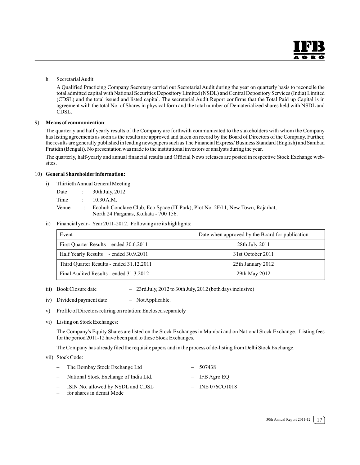#### h. Secretarial Audit

A Qualified Practicing Company Secretary carried out Secretarial Audit during the year on quarterly basis to reconcile the total admitted capital with National Securities Depository Limited (NSDL) and Central Depository Services (India) Limited (CDSL) and the total issued and listed capital. The secretarial Audit Report confirms that the Total Paid up Capital is in agreement with the total No. of Shares in physical form and the total number of Dematerialized shares held with NSDL and CDSL.

#### 9) **Means of communication**:

The quarterly and half yearly results of the Company are forthwith communicated to the stakeholders with whom the Company has listing agreements as soon as the results are approved and taken on record by the Board of Directors of the Company. Further, the results are generally published in leading newspapers such as The Financial Express/ Business Standard (English) and Sambad Pratidin (Bengali). No presentation was made to the institutional investors or analysts during the year.

The quarterly, half-yearly and annual financial results and Official News releases are posted in respective Stock Exchange websites.

#### 10) **General Shareholder information:**

- i) Thirtieth Annual General Meeting
	- Date : 30th July, 2012
	- Time : 10.30 A.M.
	- Venue : Ecohub Conclave Club, Eco Space (IT Park), Plot No. 2F/11, New Town, Rajarhat, North 24 Parganas, Kolkata - 700 156.
- ii) Financial year Year 2011-2012. Following are its highlights:

| Event                                    | Date when approved by the Board for publication |  |  |
|------------------------------------------|-------------------------------------------------|--|--|
| First Quarter Results ended 30.6.2011    | 28th July 2011                                  |  |  |
| Half Yearly Results - ended 30.9.2011    | 31st October 2011                               |  |  |
| Third Quarter Results - ended 31.12.2011 | 25th January 2012                               |  |  |
| Final Audited Results - ended 31.3.2012  | 29th May 2012                                   |  |  |

- iii) Book Closure date 23rd July, 2012 to 30th July, 2012 (both days inclusive)
- iv) Dividend payment date NotApplicable.
- v) Profile of Directors retiring on rotation: Enclosed separately
- vi) Listing on Stock Exchanges:

The Company's Equity Shares are listed on the Stock Exchanges in Mumbai and on National Stock Exchange. Listing fees for the period 2011-12 have been paid to these Stock Exchanges.

The Company has already filed the requisite papers and in the process of de-listing from Delhi Stock Exchange.

vii) Stock Code:

| The Bombay Stock Exchange Ltd         | $-507438$       |
|---------------------------------------|-----------------|
| National Stock Exchange of India Ltd. | $-$ IFB Agro EQ |

- ISIN No. allowed by NSDL and CDSL INE 076CO1018
- for shares in demat Mode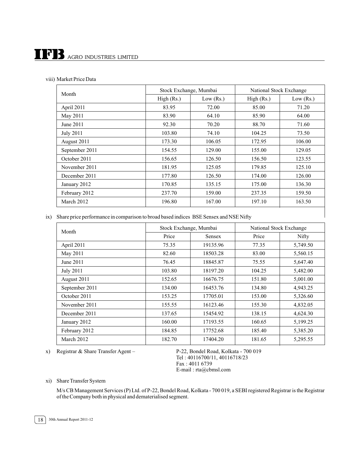# $\prod$ <sup>7</sup> $\prod$ <sub>AGRO</sub> INDUSTRIES LIMITED

| Month            | Stock Exchange, Mumbai |             | National Stock Exchange |             |  |
|------------------|------------------------|-------------|-------------------------|-------------|--|
|                  | High (Rs.)             | Low $(Rs.)$ | High (Rs.)              | Low $(Rs.)$ |  |
| April 2011       | 83.95                  | 72.00       | 85.00                   | 71.20       |  |
| May 2011         | 83.90                  | 64.10       | 85.90                   | 64.00       |  |
| June 2011        | 92.30                  | 70.20       | 88.70                   | 71.60       |  |
| <b>July 2011</b> | 103.80                 | 74.10       | 104.25                  | 73.50       |  |
| August 2011      | 173.30                 | 106.05      | 172.95                  | 106.00      |  |
| September 2011   | 154.55                 | 129.00      | 155.00                  | 129.05      |  |
| October 2011     | 156.65                 | 126.50      | 156.50                  | 123.55      |  |
| November 2011    | 181.95                 | 125.05      | 179.85                  | 125.10      |  |
| December 2011    | 177.80                 | 126.50      | 174.00                  | 126.00      |  |
| January 2012     | 170.85                 | 135.15      | 175.00                  | 136.30      |  |
| February 2012    | 237.70                 | 159.00      | 237.35                  | 159.50      |  |
| March 2012       | 196.80                 | 167.00      | 197.10                  | 163.50      |  |

ix) Share price performance in comparison to broad based indices BSE Sensex and NSE Nifty

| Month            | Stock Exchange, Mumbai |          | National Stock Exchange |          |  |
|------------------|------------------------|----------|-------------------------|----------|--|
|                  | Price                  | Sensex   | Price                   | Nifty    |  |
| April 2011       | 75.35                  | 19135.96 | 77.35                   | 5,749.50 |  |
| May 2011         | 82.60                  | 18503.28 | 83.00                   | 5,560.15 |  |
| June 2011        | 76.45                  | 18845.87 | 75.55                   | 5,647.40 |  |
| <b>July 2011</b> | 103.80                 | 18197.20 | 104.25                  | 5,482.00 |  |
| August 2011      | 152.65                 | 16676.75 | 151.80                  | 5,001.00 |  |
| September 2011   | 134.00                 | 16453.76 | 134.80                  | 4,943.25 |  |
| October 2011     | 153.25                 | 17705.01 | 153.00                  | 5,326.60 |  |
| November 2011    | 155.55                 | 16123.46 | 155.30                  | 4,832.05 |  |
| December 2011    | 137.65                 | 15454.92 | 138.15                  | 4,624.30 |  |
| January 2012     | 160.00                 | 17193.55 | 160.65                  | 5,199.25 |  |
| February 2012    | 184.85                 | 17752.68 | 185.40                  | 5,385.20 |  |
| March 2012       | 182.70                 | 17404.20 | 181.65                  | 5,295.55 |  |

x) Registrar & Share Transfer Agent – P-22, Bondel Road, Kolkata - 700 019

Tel : 40116700/11, 40116718/23 Fax : 4011 6739 E-mail : rta@cbmsl.com

xi) Share Transfer System

M/s CB Management Services (P) Ltd. of P-22, Bondel Road, Kolkata - 700 019, a SEBI registered Registrar is the Registrar of the Company both in physical and dematerialised segment.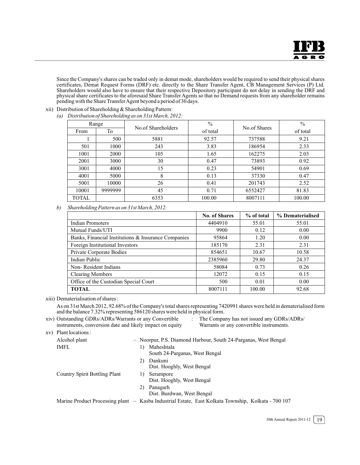Since the Company's shares can be traded only in demat mode, shareholders would be required to send their physical shares certificates, Demat Request Forms (DRF) etc. directly to the Share Transfer Agent, CB Management Services (P) Ltd. Shareholders would also have to ensure that their respective Depository participant do not delay in sending the DRF and physical share certificates to the aforesaid Share Transfer Agents so that no Demand requests from any shareholder remains pending with the Share Transfer Agent beyond a period of 30 days.

xii) Distribution of Shareholding & Shareholding Pattern:

|  |  |  | (a) Distribution of Shareholding as on 31st March, 2012: |  |
|--|--|--|----------------------------------------------------------|--|
|--|--|--|----------------------------------------------------------|--|

| Range        |         |      | $\frac{0}{0}$                                  |         | $\%$     |
|--------------|---------|------|------------------------------------------------|---------|----------|
| From         | To      |      | No.of Shareholders<br>No.of Shares<br>of total |         | of total |
|              | 500     | 5881 | 92.57                                          | 737588  | 9.21     |
| 501          | 1000    | 243  | 3.83                                           | 186954  | 2.33     |
| 1001         | 2000    | 105  | 1.65                                           | 162275  | 2.03     |
| 2001         | 3000    | 30   | 0.47                                           | 73893   | 0.92     |
| 3001         | 4000    | 15   | 0.23                                           | 54901   | 0.69     |
| 4001         | 5000    | 8    | 0.13                                           | 37330   | 0.47     |
| 5001         | 10000   | 26   | 0.41                                           | 201743  | 2.52     |
| 10001        | 9999999 | 45   | 0.71                                           | 6552427 | 81.83    |
| <b>TOTAL</b> |         | 6353 | 100.00                                         | 8007111 | 100.00   |

*b) Shareholding Pattern as on 31st March, 2012:*

|                                                     | <b>No. of Shares</b> | % of total | % Dematerialised |
|-----------------------------------------------------|----------------------|------------|------------------|
| Indian Promoters                                    | 4404910              | 55.01      | 55.01            |
| Mutual Funds/UTI                                    | 9900                 | 0.12       | 0.00             |
| Banks, Financial Institutions & Insurance Companies | 95864                | 1.20       | 0.00             |
| Foreign Institutional Investors                     | 185170               | 2.31       | 2.31             |
| Private Corporate Bodies                            | 854651               | 10.67      | 10.58            |
| Indian Public                                       | 2385960              | 29.80      | 24.37            |
| Non-Resident Indians                                | 58084                | 0.73       | 0.26             |
| <b>Clearing Members</b>                             | 12072                | 0.15       | 0.15             |
| Office of the Custodian Special Court               | 500                  | 0.01       | 0.00             |
| <b>TOTAL</b>                                        | 8007111              | 100.00     | 92.68            |

xiii) Dematerialisation of shares :

As on 31st March 2012, 92.68% of the Company's total shares representing 7420991 shares were held in dematerialised form and the balance 7.32% representing 586120 shares were held in physical form.

- xiv) Outstanding GDRs/ADRs/Warrants or any Convertible : The Company has not issued any GDRs/ADRs/ instruments, conversion date and likely impact on equity Warrants or any convertible instruments.
- 

xv) Plant locations :

| Alcohol plant                 | - Noorpur, P.S. Diamond Harbour, South 24-Parganas, West Bengal                                     |
|-------------------------------|-----------------------------------------------------------------------------------------------------|
| IMFL                          | Maheshtala<br>1)<br>South 24-Parganas, West Bengal                                                  |
|                               | Dankuni<br>2)<br>Dist. Hooghly, West Bengal                                                         |
| Country Spirit Bottling Plant | Serampore<br>1)<br>Dist. Hooghly, West Bengal                                                       |
|                               | Panagarh<br>2)<br>Dist. Burdwan, West Bengal                                                        |
|                               | Marine Product Processing plant - Kasba Industrial Estate, East Kolkata Township, Kolkata - 700 107 |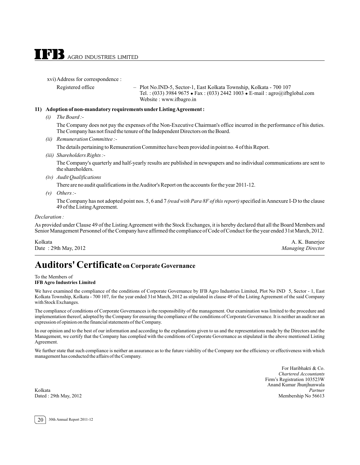xvi)Address for correspondence :

Registered office – Plot No.IND-5, Sector-1, East Kolkata Township, Kolkata - 700 107 Tel. : (033) 3984 9675 - Fax : (033) 2442 1003 - E-mail : agro@ifbglobal.com Website : www.ifbagro.in

#### **11) Adoption of non-mandatory requirements under Listing Agreement :**

*(i) The Board :-*

The Company does not pay the expenses of the Non-Executive Chairman's office incurred in the performance of his duties. The Company has not fixed the tenure of the Independent Directors on the Board.

*(ii) Remuneration Committee :-*

The details pertaining to Remuneration Committee have been provided in point no. 4 of this Report.

*(iii) Shareholders Rights :-*

The Company's quarterly and half-yearly results are published in newspapers and no individual communications are sent to the shareholders.

*(iv) Audit Qualifications*

There are no audit qualifications in the Auditor's Report on the accounts for the year 2011-12.

*(v) Others :-*

The Company has not adopted point nos. 5, 6 and 7 *(read with Para 8F of this report)* specified in Annexure I-D to the clause 49 of the Listing Agreement.

#### *Declaration :*

As provided under Clause 49 of the Listing Agreement with the Stock Exchanges, it is hereby declared that all the Board Members and Senior Management Personnel of the Company have affirmed the compliance of Code of Conduct for the year ended 31st March, 2012.

Kolkata A. K. Banerjee Date : 29th May, 2012 *Managing Director*

## **Auditors' Certificateon Corporate Governance**

To the Members of **IFB Agro Industries Limited**

We have examined the compliance of the conditions of Corporate Governance by IFB Agro Industries Limited, Plot No IND 5, Sector - 1, East Kolkata Township, Kolkata - 700 107, for the year ended 31st March, 2012 as stipulated in clause 49 of the Listing Agreement of the said Company with Stock Exchanges.

The compliance of conditions of Corporate Governances is the responsibility of the management. Our examination was limited to the procedure and implementation thereof, adopted by the Company for ensuring the compliance of the conditions of Corporate Governance. It is neither an audit nor an expression of opinion on the financial statements of the Company.

In our opinion and to the best of our information and according to the explanations given to us and the representations made by the Directors and the Management, we certify that the Company has complied with the conditions of Corporate Governance as stipulated in the above mentioned Listing Agreement.

We further state that such compliance is neither an assurance as to the future viability of the Company nor the efficiency or effectiveness with which management has conducted the affairs of the Company.

For Haribhakti & Co. *Chartered Accountants* Firm's Registration 103523W Anand Kumar Jhunjhunwala Kolkata *Partner* Dated : 29th May, 2012 Membership No 56613

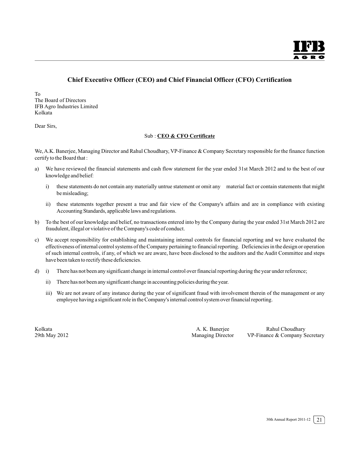#### **Chief Executive Officer (CEO) and Chief Financial Officer (CFO) Certification**

To The Board of Directors IFB Agro Industries Limited Kolkata

Dear Sirs,

#### Sub : **CEO & CFO Certificate**

We, A.K. Banerjee, Managing Director and Rahul Choudhary, VP-Finance & Company Secretary responsible for the finance function certify to the Board that :

- a) We have reviewed the financial statements and cash flow statement for the year ended 31st March 2012 and to the best of our knowledge and belief:
	- i) these statements do not contain any materially untrue statement or omit any material fact or contain statements that might be misleading;
	- ii) these statements together present a true and fair view of the Company's affairs and are in compliance with existing Accounting Standards, applicable laws and regulations.
- b) To the best of our knowledge and belief, no transactions entered into by the Company during the year ended 31st March 2012 are fraudulent, illegal or violative of the Company's code of conduct.
- c) We accept responsibility for establishing and maintaining internal controls for financial reporting and we have evaluated the effectiveness of internal control systems of the Company pertaining to financial reporting. Deficiencies in the design or operation of such internal controls, if any, of which we are aware, have been disclosed to the auditors and the Audit Committee and steps have been taken to rectify these deficiencies.
- d) i) There has not been any significant change in internal control over financial reporting during the year under reference;
	- ii) There has not been any significant change in accounting policies during the year.
	- iii) We are not aware of any instance during the year of significant fraud with involvement therein of the management or any employee having a significant role in the Company's internal control system over financial reporting.

Kolkata A. K. Banerjee Rahul Choudhary VP-Finance & Company Secretary

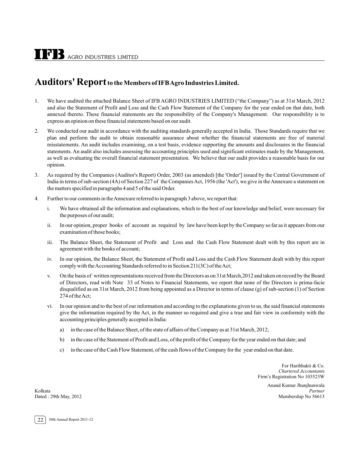## **Auditors' Report to the Members of IFB Agro Industries Limited.**

- 1. We have audited the attached Balance Sheet of IFB AGRO INDUSTRIES LIMITED ("the Company") as at 31st March, 2012 and also the Statement of Profit and Loss and the Cash Flow Statement of the Company for the year ended on that date, both annexed thereto. These financial statements are the responsibility of the Company's Management. Our responsibility is to express an opinion on these financial statements based on our audit.
- 2. We conducted our audit in accordance with the auditing standards generally accepted in India. Those Standards require that we plan and perform the audit to obtain reasonable assurance about whether the financial statements are free of material misstatements. An audit includes examining, on a test basis, evidence supporting the amounts and disclosures in the financial statements. An audit also includes assessing the accounting principles used and significant estimates made by the Management, as well as evaluating the overall financial statement presentation. We believe that our audit provides a reasonable basis for our opinion.
- 3. As required by the Companies (Auditor's Report) Order, 2003 (as amended) [the 'Order'] issued by the Central Government of India in terms of sub-section (4A) of Section 227 of the Companies Act, 1956 (the 'Act'), we give in the Annexure a statement on the matters specified in paragraphs 4 and 5 of the said Order.
- 4. Further to our comments in the Annexure referred to in paragraph 3 above, we report that:
	- i. We have obtained all the information and explanations, which to the best of our knowledge and belief, were necessary for the purposes of our audit;
	- ii. In our opinion, proper books of account as required by law have been kept by the Company so far as it appears from our examination of those books;
	- iii. The Balance Sheet, the Statement of Profit and Loss and the Cash Flow Statement dealt with by this report are in agreement with the books of account;
	- iv. In our opinion, the Balance Sheet, the Statement of Profit and Loss and the Cash Flow Statement dealt with by this report comply with the Accounting Standards referred to in Section 211(3C) of the Act;
	- v. On the basis of written representations received from the Directors as on 31st March,2012 and taken on record by the Board of Directors, read with Note 33 of Notes to Financial Statements, we report that none of the Directors is prima-facie disqualified as on 31st March, 2012 from being appointed as a Director in terms of clause (g) of sub-section (1) of Section 274 of the Act;
	- vi. In our opinion and to the best of our information and according to the explanations given to us, the said financial statements give the information required by the Act, in the manner so required and give a true and fair view in conformity with the accounting principles generally accepted in India:
		- a) in the case of the Balance Sheet, of the state of affairs of the Company as at 31st March, 2012;
		- b) in the case of the Statement of Profit and Loss, of the profit of the Company for the year ended on that date; and
		- c) in the case of the Cash Flow Statement, of the cash flows of the Company for the year ended on that date.

For Haribhakti & Co. *Chartered Accountants* Firm's Registration No 103523W

Anand Kumar Jhunjhunwala Kolkata *Partner* Dated : 29th May, 2012 Membership No 56613

22 30th Annual Report 2011-12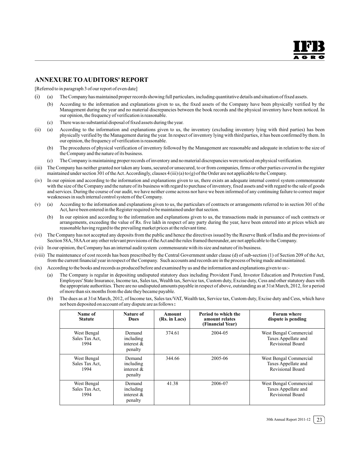#### **ANNEXURE TOAUDITORS' REPORT**

[Referred to in paragraph 3 of our report of even date]

- (i) (a) The Company has maintained proper records showing full particulars, including quantitative details and situation of fixed assets.
	- (b) According to the information and explanations given to us, the fixed assets of the Company have been physically verified by the Management during the year and no material discrepancies between the book records and the physical inventory have been noticed. In our opinion, the frequency of verification is reasonable.
	- (c) There was no substantial disposal of fixed assets during the year.
- (ii) (a) According to the information and explanations given to us, the inventory (excluding inventory lying with third parties) has been physically verified by the Management during the year. In respect of inventory lying with third parties, it has been confirmed by them. In our opinion, the frequency of verification is reasonable.
	- (b) The procedures of physical verification of inventory followed by the Management are reasonable and adequate in relation to the size of the Company and the nature of its business.
	- (c) The Company is maintaining proper records of inventory and no material discrepancies were noticed on physical verification.
- (iii) The Company has neither granted nor taken any loans, secured or unsecured, to or from companies, firms or other parties covered in the register maintained under section 301 of the Act.Accordingly, clauses 4 (iii) (a) to (g) of the Order are not applicable to the Company.
- (iv) In our opinion and according to the information and explanations given to us, there exists an adequate internal control system commensurate with the size of the Company and the nature of its business with regard to purchase of inventory, fixed assets and with regard to the sale of goods and services. During the course of our audit, we have neither come across nor have we been informed of any continuing failure to correct major weaknesses in such internal control system of the Company.
- (v) (a) According to the information and explanations given to us, the particulars of contracts or arrangements referred to in section 301 of the Act, have been entered in the Register required to be maintained under that section.
	- (b) In our opinion and according to the information and explanations given to us, the transactions made in pursuance of such contracts or arrangements, exceeding the value of Rs. five lakh in respect of any party during the year, have been entered into at prices which are reasonable having regard to the prevailing market prices at the relevant time.
- (vi) The Company has not accepted any deposits from the public and hence the directives issued by the Reserve Bank of India and the provisions of Section 58A, 58AA or any other relevant provisions of the Act and the rules framed thereunder, are not applicable to the Company.
- (vii) In our opinion, the Company has an internal audit system commensurate with its size and nature of its business.
- (viii) The maintenance of cost records has been prescribed by the Central Government under clause (d) of sub-section (1) of Section 209 of the Act, from the current financial year in respect of the Company. Such accounts and records are in the process of being made and maintained.
- (ix) According to the books and records as produced before and examined by us and the information and explanations given to us:-
	- (a) The Company is regular in depositing undisputed statutory dues including Provident Fund, Investor Education and Protection Fund, Employees' State Insurance, Income tax, Sales tax, Wealth tax, Service tax, Custom duty, Excise duty, Cess and other statutory dues with the appropriate authorities. There are no undisputed amounts payable in respect of above, outstanding as at 31st March, 2012, for a period of more than six months from the date they became payable.
	- (b) The dues as at 31st March, 2012, of Income tax, Sales tax/VAT, Wealth tax, Service tax, Custom duty, Excise duty and Cess, which have not been deposited on account of any dispute are as follows**:**

| Name of<br><b>Statute</b>             | Nature of<br>Dues                               | Amount<br>(Rs. in Lacs) | Period to which the<br>amount relates<br>(Financial Year) | <b>Forum where</b><br>dispute is pending                                 |
|---------------------------------------|-------------------------------------------------|-------------------------|-----------------------------------------------------------|--------------------------------------------------------------------------|
| West Bengal<br>Sales Tax Act,<br>1994 | Demand<br>including<br>interest $\&$<br>penalty | 374.61                  | 2004-05                                                   | West Bengal Commercial<br>Taxes Appellate and<br>Revisional Board        |
| West Bengal<br>Sales Tax Act.<br>1994 | Demand<br>including<br>interest $\&$<br>penalty | 344.66                  | 2005-06                                                   | West Bengal Commercial<br>Taxes Appellate and<br><b>Revisional Board</b> |
| West Bengal<br>Sales Tax Act.<br>1994 | Demand<br>including<br>interest $\&$<br>penalty | 41.38                   | 2006-07                                                   | West Bengal Commercial<br>Taxes Appellate and<br><b>Revisional Board</b> |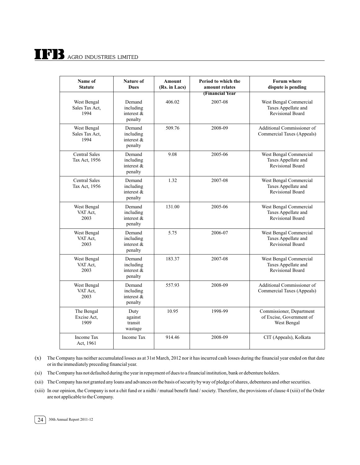# $\prod$ <sup>7</sup> $\prod$ <sub>AGRO</sub> INDUSTRIES LIMITED

| Name of<br><b>Statute</b>             | Nature of<br><b>Dues</b>                        | <b>Amount</b><br>(Rs. in Lacs) | Period to which the<br>amount relates | <b>Forum where</b><br>dispute is pending                                 |
|---------------------------------------|-------------------------------------------------|--------------------------------|---------------------------------------|--------------------------------------------------------------------------|
| West Bengal<br>Sales Tax Act,<br>1994 | Demand<br>including<br>interest &<br>penalty    | 406.02                         | (Financial Year<br>2007-08            | West Bengal Commercial<br>Taxes Appellate and<br>Revisional Board        |
| West Bengal<br>Sales Tax Act,<br>1994 | Demand<br>including<br>interest &<br>penalty    | 509.76                         | 2008-09                               | Additional Commissioner of<br>Commercial Taxes (Appeals)                 |
| <b>Central Sales</b><br>Tax Act, 1956 | Demand<br>including<br>interest &<br>penalty    | 9.08                           | 2005-06                               | West Bengal Commercial<br>Taxes Appellate and<br><b>Revisional Board</b> |
| <b>Central Sales</b><br>Tax Act, 1956 | Demand<br>including<br>interest $\&$<br>penalty | 1.32                           | 2007-08                               | West Bengal Commercial<br>Taxes Appellate and<br><b>Revisional Board</b> |
| West Bengal<br>VAT Act,<br>2003       | Demand<br>including<br>interest &<br>penalty    | 131.00                         | 2005-06                               | West Bengal Commercial<br>Taxes Appellate and<br>Revisional Board        |
| West Bengal<br>VAT Act.<br>2003       | Demand<br>including<br>interest &<br>penalty    | 5.75                           | 2006-07                               | West Bengal Commercial<br>Taxes Appellate and<br><b>Revisional Board</b> |
| West Bengal<br>VAT Act,<br>2003       | Demand<br>including<br>interest &<br>penalty    | 183.37                         | 2007-08                               | West Bengal Commercial<br>Taxes Appellate and<br><b>Revisional Board</b> |
| West Bengal<br>VAT Act,<br>2003       | Demand<br>including<br>interest &<br>penalty    | 557.93                         | 2008-09                               | Additional Commissioner of<br>Commercial Taxes (Appeals)                 |
| The Bengal<br>Excise Act,<br>1909     | Duty<br>against<br>transit<br>wastage           | 10.95                          | 1998-99                               | Commissioner, Department<br>of Excise, Government of<br>West Bengal      |
| Income Tax<br>Act, 1961               | Income Tax                                      | 914.46                         | 2008-09                               | CIT (Appeals), Kolkata                                                   |

(x) The Company has neither accumulated losses as at 31st March, 2012 nor it has incurred cash losses during the financial year ended on that date or in the immediately preceding financial year.

(xi) The Company has not defaulted during the year in repayment of dues to a financial institution, bank or debenture holders.

(xii) The Company has not granted any loans and advances on the basis of security by way of pledge of shares, debentures and other securities.

(xiii) In our opinion, the Company is not a chit fund or a nidhi / mutual benefit fund / society. Therefore, the provisions of clause 4 (xiii) of the Order are not applicable to the Company.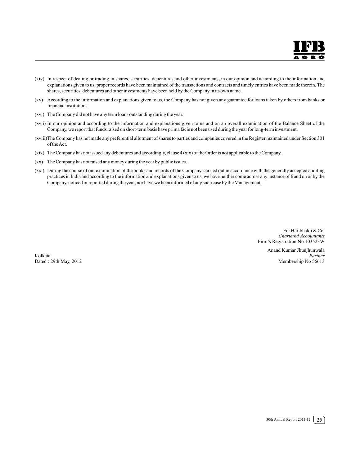- (xiv) In respect of dealing or trading in shares, securities, debentures and other investments, in our opinion and according to the information and explanations given to us, proper records have been maintained of the transactions and contracts and timely entries have been made therein. The shares, securities, debentures and other investments have been held by the Company in its own name.
- (xv) According to the information and explanations given to us, the Company has not given any guarantee for loans taken by others from banks or financial institutions.
- (xvi) The Company did not have any term loans outstanding during the year.
- (xvii) In our opinion and according to the information and explanations given to us and on an overall examination of the Balance Sheet of the Company, we report that funds raised on short-term basis have prima facie not been used during the year for long-term investment.
- (xviii)The Company has not made any preferential allotment of shares to parties and companies covered in the Register maintained under Section 301 of the Act.
- (xix) The Company has not issued any debentures and accordingly, clause 4 (xix) of the Order is not applicable to the Company.
- (xx) The Company has not raised any money during the year by public issues.
- (xxi) During the course of our examination of the books and records of the Company, carried out in accordance with the generally accepted auditing practices in India and according to the information and explanations given to us, we have neither come across any instance of fraud on or by the Company, noticed or reported during the year, nor have we been informed of any such case by the Management.

For Haribhakti & Co. *Chartered Accountants* Firm's Registration No 103523W

Anand Kumar Jhunjhunwala Kolkata *Partner* Dated : 29th May, 2012 Membership No 56613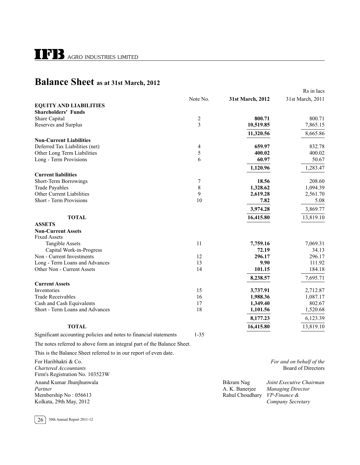## **Balance Sheet as at 31st March, 2012**

|                                                                         |                  |                  | Rs in lacs                |
|-------------------------------------------------------------------------|------------------|------------------|---------------------------|
|                                                                         | Note No.         | 31st March, 2012 | 31st March, 2011          |
| <b>EQUITY AND LIABILITIES</b>                                           |                  |                  |                           |
| <b>Shareholders' Funds</b>                                              |                  |                  |                           |
| Share Capital                                                           | 2                | 800.71           | 800.71                    |
| Reserves and Surplus                                                    | 3                | 10,519.85        | 7,865.15                  |
|                                                                         |                  | 11,320.56        | 8,665.86                  |
| <b>Non-Current Liabilities</b>                                          |                  |                  |                           |
| Deferred Tax Liabilities (net)                                          | 4                | 659.97           | 832.78                    |
| Other Long Term Liabilities                                             | 5                | 400.02           | 400.02                    |
| Long - Term Provisions                                                  | 6                | 60.97            | 50.67                     |
|                                                                         |                  | 1,120.96         | 1,283.47                  |
| <b>Current liabilities</b>                                              |                  |                  |                           |
| Short-Term Borrowings                                                   | $\boldsymbol{7}$ | 18.56            | 208.60                    |
| <b>Trade Payables</b>                                                   | 8                | 1,328.62         | 1,094.39                  |
| <b>Other Current Liabilities</b>                                        | 9                | 2,619.28         | 2,561.70                  |
| Short - Term Provisions                                                 | 10               | 7.82             | 5.08                      |
|                                                                         |                  | 3,974.28         | 3,869.77                  |
| <b>TOTAL</b>                                                            |                  | 16,415.80        | 13,819.10                 |
| <b>ASSETS</b>                                                           |                  |                  |                           |
| <b>Non-Current Assets</b>                                               |                  |                  |                           |
| <b>Fixed Assets</b>                                                     |                  |                  |                           |
| <b>Tangible Assets</b>                                                  | 11               | 7,759.16         | 7,069.31                  |
| Capital Work-in-Progress                                                |                  | 72.19            | 34.13                     |
| Non - Current Investments                                               | 12               | 296.17           | 296.17                    |
| Long - Term Loans and Advances                                          | 13               | 9.90             | 111.92                    |
| Other Non - Current Assets                                              | 14               | 101.15           | 184.18                    |
|                                                                         |                  | 8,238.57         | 7,695.71                  |
| <b>Current Assets</b>                                                   |                  |                  |                           |
| Inventories                                                             | 15               | 3,737.91         | 2,712.87                  |
| <b>Trade Receivables</b>                                                | 16               | 1,988.36         | 1,087.17                  |
| Cash and Cash Equivalents                                               | 17               | 1,349.40         | 802.67                    |
| Short - Term Loans and Advances                                         | 18               | 1,101.56         | 1,520.68                  |
|                                                                         |                  | 8,177.23         | 6,123.39                  |
| <b>TOTAL</b>                                                            |                  | 16,415.80        | 13,819.10                 |
| Significant accounting policies and notes to financial statements       | $1 - 35$         |                  |                           |
| The notes referred to above form an integral part of the Balance Sheet. |                  |                  |                           |
| This is the Balance Sheet referred to in our report of even date.       |                  |                  |                           |
| For Haribhakti & Co.                                                    |                  |                  | For and on behalf of the  |
| <b>Chartered Accountants</b>                                            |                  |                  | <b>Board of Directors</b> |

Anand Kumar Jhunjhunwala Bikram Nag *Joint Executive Chairman Partner* A. K. Banerjee *Managing Director*<br>
Membership No: 056613 **A. A. Banerjee** *Managing Director*<br>
Rahul Choudhary *VP-Finance &* Membership No : 056613 **Rahul Choudhary Properties** *Properties Properties Properties**Rahul Choudhary* **<b>***Properties* Kolkata, 29th May, 2012 *Company Secretary*

26 30th Annual Report 2011-12

Firm's Registration No. 103523W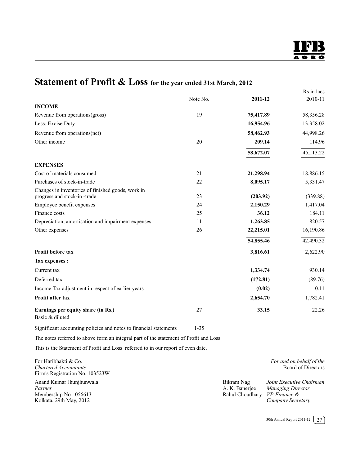## **Statement of Profit & Loss for the year ended 31st March, 2012**

|                                                                                  | Note No. | 2011-12   | Rs in lacs<br>2010-11 |
|----------------------------------------------------------------------------------|----------|-----------|-----------------------|
| <b>INCOME</b>                                                                    |          |           |                       |
| Revenue from operations(gross)                                                   | 19       | 75,417.89 | 58,356.28             |
| Less: Excise Duty                                                                |          | 16,954.96 | 13,358.02             |
| Revenue from operations(net)                                                     |          | 58,462.93 | 44,998.26             |
| Other income                                                                     | 20       | 209.14    | 114.96                |
|                                                                                  |          | 58,672.07 | 45,113.22             |
| <b>EXPENSES</b>                                                                  |          |           |                       |
| Cost of materials consumed                                                       | 21       | 21,298.94 | 18,886.15             |
| Purchases of stock-in-trade                                                      | 22       | 8,095.17  | 5,331.47              |
| Changes in inventories of finished goods, work in<br>progress and stock-in-trade | 23       | (203.92)  | (339.88)              |
| Employee benefit expenses                                                        | 24       | 2,150.29  | 1,417.04              |
| Finance costs                                                                    | 25       | 36.12     | 184.11                |
| Depreciation, amortisation and impairment expenses                               | 11       | 1,263.85  | 820.57                |
| Other expenses                                                                   | 26       | 22,215.01 | 16,190.86             |
|                                                                                  |          | 54,855.46 | 42,490.32             |
| Profit before tax                                                                |          | 3,816.61  | 2,622.90              |
| Tax expenses :                                                                   |          |           |                       |
| Current tax                                                                      |          | 1,334.74  | 930.14                |
| Deferred tax                                                                     |          | (172.81)  | (89.76)               |
| Income Tax adjustment in respect of earlier years                                |          | (0.02)    | 0.11                  |
| Profit after tax                                                                 |          | 2,654.70  | 1,782.41              |
| Earnings per equity share (in Rs.)<br>Basic & diluted                            | 27       | 33.15     | 22.26                 |

Significant accounting policies and notes to financial statements 1-35

The notes referred to above form an integral part of the statement of Profit and Loss.

This is the Statement of Profit and Loss referred to in our report of even date.

| For Haribhakti & Co.<br>Chartered Accountants<br>Firm's Registration No. 103523W        |                                                              | For and on behalf of the<br>Board of Directors                            |
|-----------------------------------------------------------------------------------------|--------------------------------------------------------------|---------------------------------------------------------------------------|
| Anand Kumar Jhunjhunwala<br>Partner<br>Membership No: 056613<br>Kolkata, 29th May, 2012 | Bikram Nag<br>A. K. Banerjee<br>Rahul Choudhary VP-Finance & | Joint Executive Chairman<br><b>Managing Director</b><br>Company Secretary |

30th Annual Report 2011-12  $\sqrt{27}$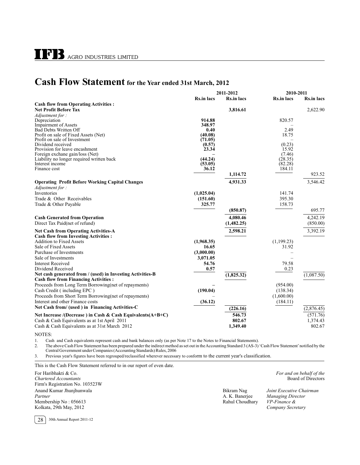## **Cash Flow Statement for the Year ended 31st March, 2012**

|                                                                      |                   | 2011-2012         | 2010-2011         |                   |
|----------------------------------------------------------------------|-------------------|-------------------|-------------------|-------------------|
|                                                                      | <b>Rs.in lacs</b> | <b>Rs.in lacs</b> | <b>Rs.in lacs</b> | <b>Rs.in lacs</b> |
| <b>Cash flow from Operating Activities:</b>                          |                   |                   |                   |                   |
| <b>Net Profit Before Tax</b>                                         |                   | 3,816.61          |                   | 2,622.90          |
| Adjustment for:                                                      |                   |                   |                   |                   |
| Depreciation                                                         | 914.88            |                   | 820.57            |                   |
| <b>Impairment of Assets</b>                                          | 348.97            |                   |                   |                   |
| <b>Bad Debts Written Off</b><br>Profit on sale of Fixed Assets (Net) | 0.40<br>(40.08)   |                   | 2.49<br>18.75     |                   |
| Profit on sale of Investment                                         | (71.05)           |                   |                   |                   |
| Dividend received                                                    | (0.57)            |                   | (0.23)            |                   |
| Provision for leave encashment                                       | 23.34             |                   | 15.92             |                   |
| Foreign exchane gain/loss (Net)                                      |                   |                   | (7.46)            |                   |
| Liability no longer required written back                            | (44.24)           |                   | (28.35)           |                   |
| Interest income<br>Finance cost                                      | (53.05)<br>36.12  |                   | (82.28)<br>184.11 |                   |
|                                                                      |                   | 1,114.72          |                   | 923.52            |
|                                                                      |                   |                   |                   |                   |
| <b>Operating Profit Before Working Capital Changes</b>               |                   | 4,931.33          |                   | 3,546.42          |
| Adjustment for:                                                      |                   |                   |                   |                   |
| Inventories                                                          | (1,025.04)        |                   | 141.74            |                   |
| Trade & Other Receivables                                            | (151.60)          |                   | 395.30            |                   |
| Trade & Other Payable                                                | 325.77            |                   | 158.73            |                   |
|                                                                      |                   | (850.87)          |                   | 695.77            |
| <b>Cash Generated from Operation</b>                                 |                   | 4,080.46          |                   | 4,242.19          |
| Direct Tax Paid(net of refund)                                       |                   | (1,482.25)        |                   | (850.00)          |
| <b>Net Cash from Operating Activities-A</b>                          |                   | 2,598.21          |                   | 3,392.19          |
| <b>Cash flow from Investing Activities:</b>                          |                   |                   |                   |                   |
| <b>Addition to Fixed Assets</b>                                      | (1,968.35)        |                   | (1,199.23)        |                   |
| Sale of Fixed Assets                                                 | 16.65             |                   | 31.92             |                   |
| Purchase of Investments                                              | (3,000.00)        |                   |                   |                   |
| Sale of Investments                                                  | 3,071.05          |                   |                   |                   |
| <b>Interest Received</b>                                             | 54.76             |                   | 79.58             |                   |
| Dividend Received                                                    | 0.57              |                   | 0.23              |                   |
| Net cash generated from / (used) in Investing Activities-B           |                   | (1,825.32)        |                   | (1,087.50)        |
| <b>Cash flow from Financing Activities:</b>                          |                   |                   |                   |                   |
| Proceeds from Long Term Borrowing (net of repayments)                |                   |                   | (954.00)          |                   |
| Cash Credit (including EPC)                                          | (190.04)          |                   | (138.34)          |                   |
| Proceeds from Short Term Borrowing(net of repayments)                |                   |                   | (1,600.00)        |                   |
| Interest and other Finance costs                                     | (36.12)           |                   | (184.11)          |                   |
| Net Cash from/ (used) in Financing Activities-C                      |                   | (226.16)          |                   | (2,876.45)        |
| Net Increase /(Decrease) in Cash & Cash Equivalents $(A+B+C)$        |                   | 546.73            |                   | (571.76)          |
| Cash & Cash Equivalents as at 1st April 2011                         |                   | 802.67            |                   | 1,374.43          |
| Cash & Cash Equivalents as at 31st March 2012                        |                   | 1,349.40          |                   | 802.67            |

#### NOTES:

1. Cash and Cash equivalents represent cash and bank balances only (as per Note 17 to the Notes to Financial Statements).<br>2. The above Cash Flow Statement has been prepared under the indirect method as set out in the Accou

2. The above Cash Flow Statement has been prepared under the indirect method as set out in the Accounting Standard 3 (AS-3) 'Cash Flow Statement' notified by the Central Government under Companies (Accounting Standards) Ru

3. Previous year's figures have been regrouped/reclassified wherever necessary to conform to the current year's classification.

This is the Cash Flow Statement referred to in our report of even date.

For Haribhakti & Co. *For and on behalf of the For and on behalf of the For and on behalf of the For and on behalf of the For and on behalf of the For and on behalf of the* **<b>***Board of Directors* **Chartered Accountants** Firm's Registration No. 103523W Anand Kumar Jhunjhunwala Bikram Nag *Joint Executive Chairman Partner* A. K. Banerjee *Managing Director*<br> **A. K. Banerjee** *Managing Director*<br> **Rahul Choudhary** *VP-Finance* & Membership No: 056613 Kolkata, 29th May, 2012 *Company Secretary*



28 30th Annual Report 2011-12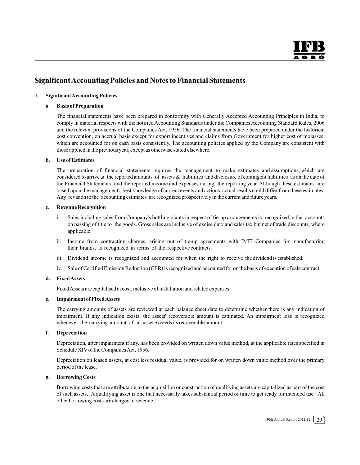#### **SignificantAccounting Policies and Notes to Financial Statements**

#### **1. Significant Accounting Policies**

#### **a**. **Basis of Preparation**

The financial statements have been prepared in conformity with Generally Accepted Accounting Principles in India, to comply in material respects with the notified Accounting Standards under the Companies Accounting Standard Rules, 2006 and the relevant provisions of the Companies Act, 1956. The financial statements have been prepared under the historical cost convention, on accrual basis except for export incentives and claims from Government for higher cost of molasses, which are accounted for on cash basis consistently. The accounting policies applied by the Company are consistent with those applied in the previous year, except as otherwise stated elsewhere.

#### **b**. **Use of Estimates**

The preparation of financial statements requires the management to make estimates and assumptions, which are considered to arrive at the reported amounts of assets & liabilities and disclosure of contingent liabilities as on the date of the Financial Statements and the reported income and expenses during the reporting year. Although these estimates are based upon the management's best knowledge of current events and actions, actual results could differ from these estimates. Any revision to the accounting estimates are recognized prospectively in the current and future years.

#### **c. Revenue Recognition**

- i. Sales including sales from Company's bottling plants in respect of tie-up arrangements is recognized in the accounts on passing of title to the goods. Gross sales are inclusive of excise duty and sales tax but net of trade discounts, where applicable.
- ii. Income from contracting charges, arising out of tie-up agreements with IMFL Companies for manufacturing their brands, is recognized in terms of the respective contracts.
- iii. Dividend income is recognized and accounted for when the right to receive the dividend is established.
- iv. Sale of Certified Emission Reduction (CER) is recognized and accounted for on the basis of execution of sale contract.

#### **d. Fixed Assets**

FixedAssets are capitalised at cost, inclusive of installation and related expenses.

#### **e. Impairment of Fixed Assets**

The carrying amounts of assets are reviewed at each balance sheet date to determine whether there is any indication of impairment. If any indication exists, the assets' recoverable amount is estimated. An impairment loss is recognized whenever the carrying amount of an asset exceeds its recoverable amount.

#### **f. Depreciation**

Depreciation, after impairment if any, has been provided on written down value method, at the applicable rates specified in Schedule XIV of the Companies Act, 1956.

Depreciation on leased assets, at cost less residual value, is provided for on written down value method over the primary period of the lease.

#### **g. Borrowing Costs**

Borrowing costs that are attributable to the acquisition or construction of qualifying assets are capitalized as part of the cost of such assets. A qualifying asset is one that necessarily takes substantial period of time to get ready for intended use. All other borrowing costs are charged to revenue.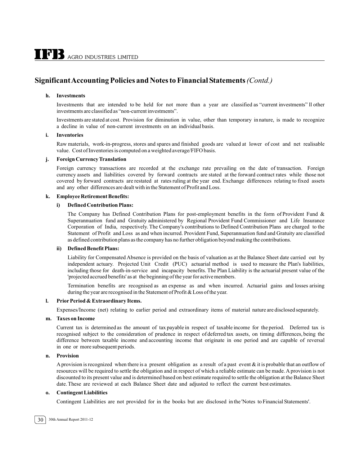#### **SignificantAccounting Policies and Notes to Financial Statements***(Contd.)*

#### **h. Investments**

Investments that are intended to be held for not more than a year are classified as "current investments" ll other investments are classified as "non-current investments".

Investments are stated at cost. Provision for diminution in value, other than temporary in nature, is made to recognize a decline in value of non-current investments on an individual basis.

#### **i. Inventories**

Raw materials, work-in-progress, stores and spares and finished goods are valued at lower of cost and net realisable value. Cost of Inventories is computed on a weighted average/FIFO basis.

#### **j. Foreign Currency Translation**

Foreign currency transactions are recorded at the exchange rate prevailing on the date of transaction. Foreign currency assets and liabilities covered by forward contracts are stated at the forward contract rates while those not covered by forward contracts are restated at rates ruling at the year end. Exchange differences relating to fixed assets and any other differences are dealt with in the Statement of Profit and Loss.

#### **k. Employee Retirement Benefits:**

#### **i) Defined Contribution Plans:**

The Company has Defined Contribution Plans for post-employment benefits in the form of Provident Fund & Superannuation fund and Gratuity administered by Regional Provident Fund Commissioner and Life Insurance Corporation of India, respectively. The Company's contributions to Defined Contribution Plans are charged to the Statement of Profit and Loss as and when incurred. Provident Fund, Superannuation fund and Gratuity are classified as defined contribution plans as the company has no further obligation beyond making the contributions.

#### **ii) Defined Benefit Plans:**

Liability for Compensated Absence is provided on the basis of valuation as at the Balance Sheet date carried out by independent actuary. Projected Unit Credit (PUC) actuarial method is used to measure the Plan's liabilities, including those for death-in-service and incapacity benefits. The Plan Liability is the actuarial present value of the 'projected accrued benefits' as at the beginning of the year for active members.

Termination benefits are recognised as an expense as and when incurred. Actuarial gains and losses arising during the year are recognised in the Statement of Profit & Loss of the year.

#### **l. Prior Period & Extraordinary Items.**

Expenses/Income (net) relating to earlier period and extraordinary items of material nature are disclosed separately.

#### **m. Taxes on Income**

Current tax is determined as the amount of tax payable in respect of taxable income for the period. Deferred tax is recognised subject to the consideration of prudence in respect of deferred tax assets, on timing differences, being the difference between taxable income and accounting income that originate in one period and are capable of reversal in one or more subsequent periods.

#### **n. Provision**

A provision is recognized when there is a present obligation as a result of a past event  $\&$  it is probable that an outflow of resources will be required to settle the obligation and in respect of which a reliable estimate can be made. A provision is not discounted to its present value and is determined based on best estimate required to settle the obligation at the Balance Sheet date. These are reviewed at each Balance Sheet date and adjusted to reflect the current best estimates.

#### **o. Contingent Liabilities**

Contingent Liabilities are not provided for in the books but are disclosed in the 'Notes to Financial Statements'.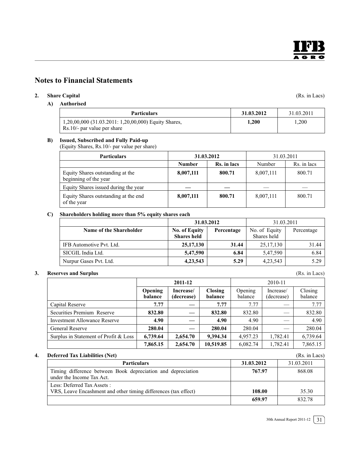## **Notes to Financial Statements**

#### **2. Share Capital** (Rs. in Lacs)

#### **A) Authorised**

| <b>Particulars</b>                                                                    | 31.03.2012 | 31.03.2011 |
|---------------------------------------------------------------------------------------|------------|------------|
| 1,20,00,000 (31.03.2011: 1,20,00,000) Equity Shares,<br>$Rs.10/-$ par value per share | 1.200      | .200       |

#### **B) Issued, Subscribed and Fully Paid-up**

(Equity Shares, Rs.10/- par value per share)

| <b>Particulars</b>                                        | 31.03.2012    |             | 31.03.2011 |             |
|-----------------------------------------------------------|---------------|-------------|------------|-------------|
|                                                           | <b>Number</b> | Rs. in lacs | Number     | Rs. in lacs |
| Equity Shares outstanding at the<br>beginning of the year | 8,007,111     | 800.71      | 8,007,111  | 800.71      |
| Equity Shares issued during the year                      |               |             |            |             |
| Equity Shares outstanding at the end<br>of the year       | 8,007,111     | 800.71      | 8,007,111  | 800.71      |

#### **C) Shareholders holding more than 5% equity shares each**

|                          |                                            | 31.03.2012 | 31.03.2011                   |            |
|--------------------------|--------------------------------------------|------------|------------------------------|------------|
| Name of the Shareholder  | <b>No. of Equity</b><br><b>Shares</b> held | Percentage | No. of Equity<br>Shares held | Percentage |
| IFB Automotive Pvt. Ltd. | 25, 17, 130                                | 31.44      | 25, 17, 130                  | 31.44      |
| SICGIL India Ltd.        | 5,47,590                                   | 6.84       | 5,47,590                     | 6.84       |
| Nurpur Gases Pvt. Ltd.   | 4, 23, 543                                 | 5.29       | 4, 23, 543                   | 5.29       |

#### **3. Reserves and Surplus**

|                                       | 2011-12            |                         |                           |                    | 2010-11                 |                    |
|---------------------------------------|--------------------|-------------------------|---------------------------|--------------------|-------------------------|--------------------|
|                                       | Opening<br>balance | Increase/<br>(decrease) | <b>Closing</b><br>balance | Opening<br>balance | Increase/<br>(decrease) | Closing<br>balance |
| Capital Reserve                       | 7.77               |                         | 7.77                      | 7.77               |                         | 7.77               |
| Securities Premium Reserve            | 832.80             |                         | 832.80                    | 832.80             |                         | 832.80             |
| <b>Investment Allowance Reserve</b>   | 4.90               |                         | 4.90                      | 4.90               |                         | 4.90               |
| <b>General Reserve</b>                | 280.04             |                         | 280.04                    | 280.04             |                         | 280.04             |
| Surplus in Statement of Profit & Loss | 6,739.64           | 2,654.70                | 9,394.34                  | 4,957.23           | 6,739.64<br>1,782.41    |                    |
|                                       | 7,865.15           | 2,654.70                | 10,519.85                 | 6,082.74           | 1,782.41                | 7,865.15           |

#### **4. Deferred Tax Liabilities (Net)** (Rs. in Lacs)

| Deiched Iax Labinues (1990)                                                                    |            | $(1\omega, \text{III}$ Lavs |
|------------------------------------------------------------------------------------------------|------------|-----------------------------|
| <b>Particulars</b>                                                                             | 31.03.2012 | 31.03.2011                  |
| Timing difference between Book depreciation and depreciation<br>under the Income Tax Act.      | 767.97     | 868.08                      |
| Less: Deferred Tax Assets :<br>VRS, Leave Encashment and other timing differences (tax effect) | 108.00     | 35.30                       |
|                                                                                                | 659.97     | 832.78                      |

(Rs. in Lacs)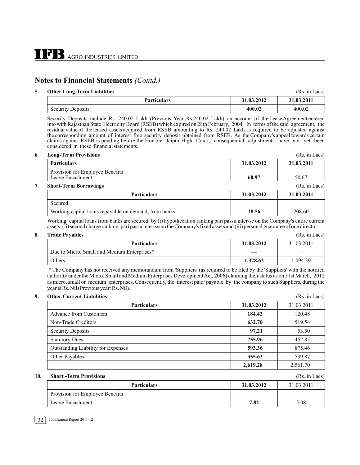#### **5. Other Long-Term Liabilities** (Rs. in Lacs)

| <b>Particulars</b>   | 31.03.2012 | 31.03.2011 |
|----------------------|------------|------------|
| Security<br>Deposits | 400.02     | 400.02     |

Security Deposits include Rs. 240.02 Lakh (Previous Year Rs.240.02 Lakh) on account of the Lease Agreement entered into with Rajasthan State Electricity Board (RSEB) which expired on 28th February, 2004. In terms of the said agreement, the residual value of the leased assets acquired from RSEB amounting to Rs. 240.02 Lakh is required t the corresponding amount of interest free security deposit obtained from RSEB. As the Company's appeal towards certain claims against RSEB is pending before the Hon'ble Jaipur High Court, consequential adjustments have not yet been considered in these financial statements.

#### **6. Long-Term Provisions** (Rs. in Lacs)

|                                                       |            | .             |
|-------------------------------------------------------|------------|---------------|
| <b>Particulars</b>                                    | 31.03.2012 | 31.03.2011    |
| Provision for Employee Benefits :<br>Leave Encashment | 60.97      | 50.67         |
| <b>Short-Term Borrowings</b>                          |            | (Rs. in Lacs) |
| <b>Particulars</b>                                    | 31.03.2012 | 31.03.2011    |
| Secured:                                              |            |               |

Working capital loans repayable on demand, from banks **18.56 18.56** 208.60

Working capital loans from banks are secured by (i) hypothecation ranking pari passu inter-se on the Company's entire current assets, (ii) second charge ranking pari passu inter-se on the Company's fixed assets and (iii) personal guarantee of one director.

| о. | <b>Trade Pavables</b>                       |            | (Rs. in Lacs) |
|----|---------------------------------------------|------------|---------------|
|    | <b>Particulars</b>                          | 31.03.2012 | 31.03.2011    |
|    | Due to Micro, Small and Medium Enterprises* |            |               |
|    | Others                                      | 1,328.62   | 1.094.39      |

 \* The Company has not received any memorandum from 'Suppliers' (as required to be filed by the 'Suppliers' with the notified authority under the Micro, Small and Medium Enterprises Development Act, 2006) claiming their status as on 31st March, 2012 as micro, small or medium enterprises. Consequently, the interest paid/ payable by the company to such Suppliers, during the year is Rs. Nil (Previous year: Rs. Nil).

| 9.<br><b>Other Current Liabilities</b>    |            | (Rs. in Lacs) |
|-------------------------------------------|------------|---------------|
| <b>Particulars</b>                        | 31.03.2012 | 31.03.2011    |
| <b>Advance from Customers</b>             | 184.42     | 120.48        |
| Non-Trade Creditors                       | 632.70     | 519.54        |
| <b>Security Deposits</b>                  | 97.21      | 53.50         |
| <b>Statutory Dues</b>                     | 755.96     | 452.85        |
| <b>Outstanding Liability for Expenses</b> | 593.36     | 875.46        |
| Other Payables                            | 355.63     | 539.87        |
|                                           | 2,619.28   | 2,561.70      |

#### **10. Short -Term Provisions** (Rs. in Lacs)

| <b>Particulars</b>                | 31.03.2012 | 31.03.2011 |
|-----------------------------------|------------|------------|
| Provision for Employee Benefits : |            |            |
| Leave Encashment                  | 7.82       | 5.08       |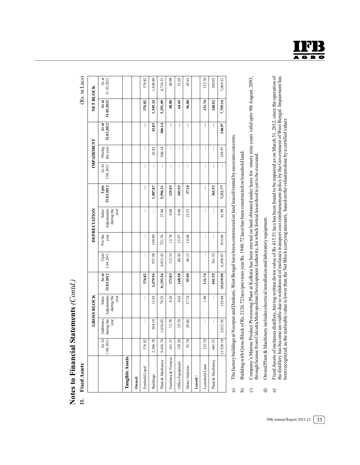# Notes to Financial Statements (Contd.) **Notes to Financial Statements** *(Contd.)*

**11. Fixed Assets** (Rs. in Lacs) 11. Fixed Assets

| ğ<br>۳ |  |
|--------|--|
|        |  |
| ∍      |  |
| 5      |  |
|        |  |

|                        |                    |                                 | <b>GROSS BLOCK</b>                          |                                                           |                          |                          | DEPRECIATION                               |                    |                          | IMPAIRMENT               |                     | NET BLOCK           |                     |
|------------------------|--------------------|---------------------------------|---------------------------------------------|-----------------------------------------------------------|--------------------------|--------------------------|--------------------------------------------|--------------------|--------------------------|--------------------------|---------------------|---------------------|---------------------|
|                        | As At<br>1.04.2011 | during the<br>Additions<br>year | Adjustments<br>during the<br>year<br>Sales/ | $\begin{array}{c} \text{As at} \\ 31.03.2012 \end{array}$ | Upto<br>1.04.2011        | For the<br>year          | Adjustments<br>during the<br>Sales<br>year | 31.03.2012<br>Upto | As At<br>1.04.2011       | the year<br>During       | 31.03.2012<br>As at | 31.03.2012<br>As at | As at<br>31.03.2011 |
| <b>Tangible Assets</b> |                    |                                 |                                             |                                                           |                          |                          |                                            |                    |                          |                          |                     |                     |                     |
| Owned:                 |                    |                                 |                                             |                                                           |                          |                          |                                            |                    |                          |                          |                     |                     |                     |
| Freehold Land          | 376.82             | I                               | $\overline{\phantom{a}}$                    | 376.82                                                    | $\overline{\phantom{a}}$ | $\overline{\phantom{a}}$ | I                                          | I                  | $\overline{\phantom{a}}$ | I                        | I                   | 376.82              | 376.82              |
| <b>Buildings</b>       | 2,386.78           | 304.19                          | 11.03                                       | 2,679.94                                                  | 937.98                   | 149.89                   |                                            | ,087.87            |                          | 42.83                    | 42.83               | 1,549.24            | ,448.80             |
| Plant & Machinery      | 9,636.74           | 1,636.03                        | 79.23                                       | 11,193.54                                                 | 4,912.43                 | 721.76                   | 37.88                                      | 5,596.31           | I                        | 306.14                   | 306.14              | 5,291.09            | 4,724.31            |
| Furniture & Fixtures   | 161.31             | 12.78                           | 0.26                                        | 173.83                                                    | 112.33                   | 12.78                    | 0.08                                       | 125.03             |                          | I                        | I                   | 48.80               | 48.98               |
| Office Equipment       | 139.50             | 29.70                           | 0.62                                        | 168.58                                                    | 88.45                    | 15.97                    | 64.0                                       | 103.93             | I                        | I                        | I                   | 64.65               | 51.05               |
| Motor Vehicles         | 91.78              | 29.86                           | 27.74                                       | 93.90                                                     | 46.15                    | 14.48                    | 23.53                                      | 37.10              |                          | I                        | I                   | 56.80               | 45.63               |
| Leased:                |                    |                                 |                                             |                                                           |                          |                          |                                            |                    |                          |                          |                     |                     |                     |
| Leasehold Land         | 133.70             |                                 | 1.96                                        | 131.74                                                    | I                        | I                        |                                            | I                  | I                        | $\overline{\phantom{a}}$ | I                   | 131.74              | 133.70              |
| Plant & Machinery      | 601.55             |                                 |                                             | 601.55                                                    | 361.53                   |                          |                                            | 361.53             |                          |                          | I                   | 240.02              | 240.02              |
|                        | 13,528.18          | 2,012.56                        | 120.84                                      | 15,419.90                                                 | 6,458.87                 | 914.88                   | 61.98                                      | 7,311.77           | I                        | 348.97                   | 348.97              | 7,759.16            | 7,069.31            |

The factory buildings at Noorpur and Dankuni, West Bengal have been constructed on land leased/rented by associate concerns. a) The factory buildings at Noorpur and Dankuni, West Bengal have been constructed on land leased/rented by associate concerns.  $\widehat{a}$ 

Building with Gross Block of Rs. 2126.72 lacs (previous year Rs. 1940.72 lacs) has been constructed on leaschold land. b) Building with Gross Block of Rs. 2126.72 lacs (previous year Rs. 1940.72 lacs) has been constructed on leasehold land.  $\Omega$ 

Company's Marine Product Processing Plant at Kolkata has been erected on land obtained under lease for ninety nine years valid upto 9th August, 2093,<br>through license from Calcutta Metropolitan Development Authority, for wh c) Company's Marine Product Processing Plant at Kolkata has been erected on land obtained under lease for ninety nine years valid upto 9th August, 2093, through license from Calcutta Metropolitan DevelopmentAuthority, for which formal lease deed is yet to be executed.  $\hat{c}$ 

Owned Plant & Machinery includes electrical installation and laboratory equipment. d) Owned Plant & Machinery includes electrical installation and laboratory equipment.  $\ominus$ 

Fixed Assets of molasses distillery, having written down value of Rs 415.51 lacs has been found to be impaired as on March 31, 2012, since the operation of<br>the distillery has become un-viable due to withdrawal of molasses e) Fixed Assets of molasses distillery, having written down value of Rs 415.51 lacs has been found to be impaired as on March 31, 2012, since the operation of the distillery has become un-viable due to withdrawal of molasses transport cost reimbursement policy by the Government of West Bengal. Impairment has been recognized, as the realisable value is lower than the Net Block (carrying amount), based on the valuation done by a certified valuer. $\widehat{\mathbf{e}}$ 

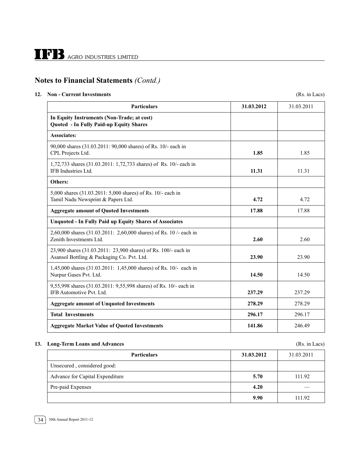#### **12. Non - Current Investments** (Rs. in Lacs)

| <b>Particulars</b>                                                                                           | 31.03.2012 | 31.03.2011 |
|--------------------------------------------------------------------------------------------------------------|------------|------------|
| In Equity Instruments (Non-Trade; at cost)<br>Quoted - In Fully Paid-up Equity Shares                        |            |            |
| <b>Associates:</b>                                                                                           |            |            |
| 90,000 shares (31.03.2011: 90,000 shares) of Rs. 10/- each in<br>CPL Projects Ltd.                           | 1.85       | 1.85       |
| 1,72,733 shares (31.03.2011: 1,72,733 shares) of Rs. 10/- each in<br>IFB Industries Ltd.                     | 11.31      | 11.31      |
| Others:                                                                                                      |            |            |
| 5,000 shares (31.03.2011: 5,000 shares) of Rs. 10/- each in<br>Tamil Nadu Newsprint & Papers Ltd.            | 4.72       | 4.72       |
| <b>Aggregate amount of Quoted Investments</b>                                                                | 17.88      | 17.88      |
| <b>Unquoted - In Fully Paid up Equity Shares of Associates</b>                                               |            |            |
| 2,60,000 shares (31.03.2011: 2,60,000 shares) of Rs. 10 /- each in<br>Zenith Investments Ltd.                | 2.60       | 2.60       |
| 23,900 shares (31.03.2011: 23,900 shares) of Rs. 100/- each in<br>Asansol Bottling & Packaging Co. Pvt. Ltd. | 23.90      | 23.90      |
| 1,45,000 shares (31.03.2011: 1,45,000 shares) of Rs. 10/- each in<br>Nurpur Gases Pvt. Ltd.                  | 14.50      | 14.50      |
| 9,55,998 shares (31.03.2011: 9,55,998 shares) of Rs. 10/- each in<br>IFB Automotive Pvt. Ltd.                | 237.29     | 237.29     |
| <b>Aggregate amount of Unquoted Investments</b>                                                              | 278.29     | 278.29     |
| <b>Total Investments</b>                                                                                     | 296.17     | 296.17     |
| <b>Aggregate Market Value of Quoted Investments</b>                                                          | 141.86     | 246.49     |

#### **13. Long-Term Loans and Advances** (Rs. in Lacs)

**Particulars** 31.03.2012 31.03.2011 Unsecured , considered good: Advance for Capital Expenditure **5.70** 111.92 Pre-paid Expenses **4.20** — **9.90** 111.92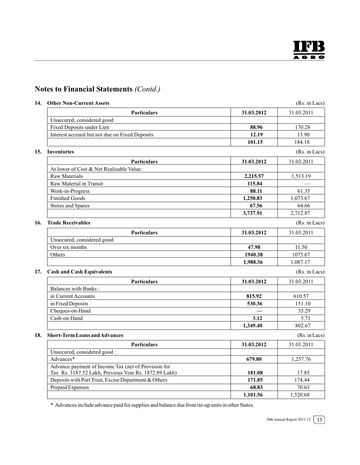| 14. Other Non-Current Assets                          |            | (Rs. in Lacs) |
|-------------------------------------------------------|------------|---------------|
| <b>Particulars</b>                                    | 31.03.2012 | 31.03.2011    |
| Unsecured, considered good:                           |            |               |
| Fixed Deposits under Lien                             | 88.96      | 170.28        |
| Interest accrued but not due on Fixed Deposits        | 12.19      | 13.90         |
|                                                       | 101.15     | 184.18        |
| 15. Inventories                                       |            | (Rs. in Lacs) |
| <b>Particulars</b>                                    | 31.03.2012 | 31.03.2011    |
| At lower of Cost & Net Realisable Value:              |            |               |
| <b>Raw Materials</b>                                  | 2,215.57   | 1,513.19      |
| Raw Material in Transit                               | 115.84     |               |
| Work-in-Progress                                      | 88.11      | 61.35         |
| <b>Finished Goods</b>                                 | 1,250.83   | 1,073.67      |
| <b>Stores and Spares</b>                              | 67.56      | 64.66         |
|                                                       | 3,737.91   | 2,712.87      |
| <b>Trade Receivables</b>                              |            | (Rs. in Lacs) |
| <b>Particulars</b>                                    | 31.03.2012 | 31.03.2011    |
| Unsecured, considered good:                           |            |               |
| Over six months                                       | 47.98      | 11.50         |
| Others                                                | 1940.38    | 1075.67       |
|                                                       | 1,988.36   | 1,087.17      |
| <b>Cash and Cash Equivalents</b>                      |            | (Rs. in Lacs) |
| <b>Particulars</b>                                    | 31.03.2012 | 31.03.2011    |
| Balances with Banks:                                  |            |               |
| in Current Accounts                                   | 815.92     | 610.57        |
| in Fixed Deposits                                     | 530.36     | 151.10        |
| Cheques-on-Hand                                       |            | 35.29         |
| Cash-on-Hand                                          | 3.12       | 5.71          |
|                                                       | 1,349.40   | 802.67        |
| <b>Short-Term Loans and Advances</b>                  |            | (Rs. in Lacs) |
| <b>Particulars</b>                                    | 31.03.2012 | 31.03.2011    |
| Unsecured, considered good:                           |            |               |
| Advances*                                             | 679.80     | 1,257.76      |
| Advance payment of Income Tax (net of Provision for   |            |               |
| Tax Rs. 3187.52 Lakh, Previous Year Rs. 1872.89 Lakh) | 181.08     | 17.85         |
| Deposits with Port Trust, Excise Department & Others  | 171.85     | 174.44        |
| Prepaid Expenses                                      | 68.83      | 70.63         |

\* Advances include advance paid for supplies and balance due from tie-up units in other States.

30th Annual Report 2011-12  $\sqrt{35}$ 

**1,101.56** 1,520.68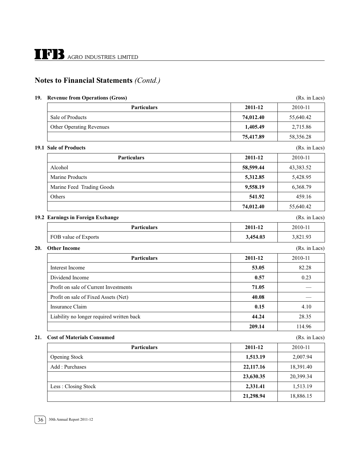#### **19. Revenue from Operations (Gross)** (Rs. in Lacs)

**Particulars** 2011-12 2010-11 Sale of Products **74,012.40** 55,640.42 Other Operating Revenues **1,405.49** 2,715.86 **75,417.89** 58,356.28 **19.1 Sale of Products** (Rs. in Lacs) **Particulars** 2011-12 2010-11 Alcohol **58,599.44** 43,383.52 Marine Products **5,312.85** 5,428.95 Marine Feed Trading Goods **9,558.19** 6,368.79 Others **541.92** 459.16 **74,012.40** 55,640.42 **19.2 Earnings in Foreign Exchange** (Rs. in Lacs) **Particulars** 2011-12 2010-11 FOB value of Exports **3,454.03** 3,821.93 **20.** Other Income (Rs. in Lacs) **Particulars** 2011-12 2010-11 Interest Income **53.05** 82.28 Dividend Income 0.23 **0.57** 0.23 Profit on sale of Current Investments **71.05** and **71.05** and **71.05** Profit on sale of Fixed Assets (Net) **40.08 40.08** Insurance Claim **1.10 1.10 1.10 1.10 1.10 1.10 1.10 1.10 1.10 1.10 1.10 1.10 1.10 1.10 1.10 1.10 1.10 1.10 1.10 1.10 1.10 1.10 1.10 1.10 1.10 1.10 1.10 1.10 1.10 1.** Liability no longer required written back **44.24** 28.35 **209.14** 114.96 **21. Cost of Materials Consumed** (Rs. in Lacs) **Particulars** 2011-12 2010-11 Opening Stock **1,513.19** 2,007.94 Add : Purchases **22,117.16** 18,391.40 **23,630.35** 20,399.34 Less : Closing Stock **2,331.41** 1,513.19 **21,298.94** 18,886.15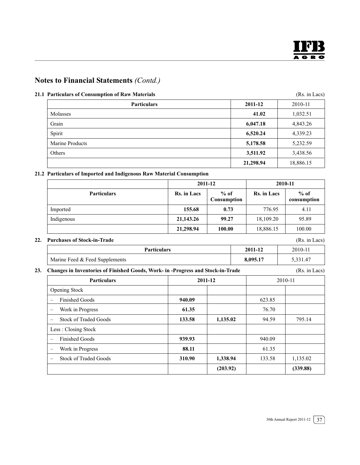#### **21.1 Particulars of Consumption of Raw Materials** (Rs. in Lacs)

| <b>Particulars</b> | 2011-12   | 2010-11   |
|--------------------|-----------|-----------|
| Molasses           | 41.02     | 1,032.51  |
| Grain              | 6,047.18  | 4,843.26  |
| Spirit             | 6,520.24  | 4,339.23  |
| Marine Products    | 5,178.58  | 5,232.59  |
| Others             | 3,511.92  | 3,438.56  |
|                    | 21,298.94 | 18,886.15 |

#### **21.2 Particulars of Imported and Indigenous Raw Material Consumption**

|                    | 2011-12            |                       | 2010-11     |                       |  |
|--------------------|--------------------|-----------------------|-------------|-----------------------|--|
| <b>Particulars</b> | <b>Rs.</b> in Lacs | $%$ of<br>Consumption | Rs. in Lacs | $%$ of<br>consumption |  |
| Imported           | 155.68             | 0.73                  | 776.95      | 4.11                  |  |
| Indigenous         | 21,143.26          | 99.27                 | 18,109.20   | 95.89                 |  |
|                    | 21,298.94          | 100.00                | 18,886.15   | 100.00                |  |

#### **22. Purchases of Stock-in-Trade** (Rs. in Lacs)

| <b>Particulars</b>             | 2011-12  | 2010-11  |
|--------------------------------|----------|----------|
| Marine Feed & Feed Supplements | 8,095.17 | 5,331.47 |
|                                |          |          |

#### **23. Changes in Inventories of Finished Goods, Work- in -Progress and Stock-in-Trade** (Rs. in Lacs)

| <b>Particulars</b>           | 2011-12 |          | 2010-11 |          |
|------------------------------|---------|----------|---------|----------|
| <b>Opening Stock</b>         |         |          |         |          |
| <b>Finished Goods</b>        | 940.09  |          | 623.85  |          |
| Work in Progress             | 61.35   |          | 76.70   |          |
| <b>Stock of Traded Goods</b> | 133.58  | 1,135.02 | 94.59   | 795.14   |
| Less: Closing Stock          |         |          |         |          |
| <b>Finished Goods</b>        | 939.93  |          | 940.09  |          |
| Work in Progress             | 88.11   |          | 61.35   |          |
| <b>Stock of Traded Goods</b> | 310.90  | 1,338.94 | 133.58  | 1,135.02 |
|                              |         | (203.92) |         | (339.88) |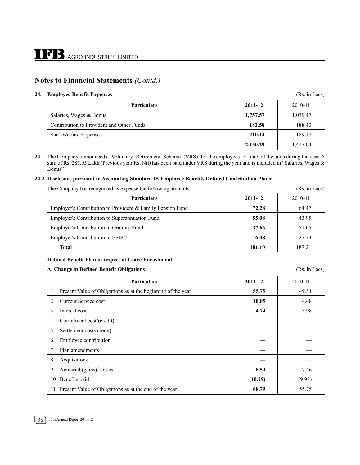#### **24. Employee Benefit Expenses** (Rs. in Lacs)

| <b>Particulars</b>                        | 2011-12  | 2010-11  |  |
|-------------------------------------------|----------|----------|--|
| Salaries, Wages & Bonus                   | 1,757.57 | 1.039.47 |  |
| Contribution to Provident and Other Funds | 182.58   | 188.40   |  |
| <b>Staff Welfare Expenses</b>             | 210.14   | 189.17   |  |
|                                           | 2,150.29 | 1.417.04 |  |

**24.1** The Company announced a Voluntary Retirement Scheme (VRS) for the employees of one of the units during the year. A sum of Rs. 285.95 Lakh (Previous year Rs. Nil) has been paid under VRS during the year and is included in "Salaries, Wages & Bonus"

#### **24.2 Disclosure pursuant to Accounting Standard 15-Employee Benefits Defined Contribution Plans:**

The Company has recognized as expense the following amounts: (Rs. in Lacs)

| The Company has recognized as expense the following amounts. | (INS. III LAUS) |         |
|--------------------------------------------------------------|-----------------|---------|
| <b>Particulars</b>                                           | 2011-12         | 2010-11 |
| Employer's Contribution to Provident & Family Pension Fund   | 72.28           | 64.47   |
| Employer's Contribution to Superannuation Fund               | 55.08           | 43.95   |
| Employer's Contribution to Gratuity Fund                     | 37.66           | 51.05   |
| Employer's Contribution to ESISC                             | 16.08           | 27.74   |
| Total                                                        | 181.10          | 187.21  |

#### **Defined Benefit Plan in respect of Leave Encashment:**

#### **A. Change in Defined Benefit Obligations** (Rs. in Lacs)

**Particulars** 2011-12 2010-11 1 Present Value of Obligations as at the beginning of the year **55.75** 49.81 2 Current Service cost **10.05** 4.48 3 Interest cost **4.74** 3.98 4 Curtailment cost/(credit) **—** — 5 Settlement cost/(credit) **—** — 6 Employee contribution **—** — 7 Plan amendments **—** — 8 Acquisitions **—** — 9 Actuarial (gains)/ losses **8.54** 7.46 10 Benefits paid **(10.29)** (9.98) 11 Present Value of Obligations as at the end of the year **68.79** 68.79 55.75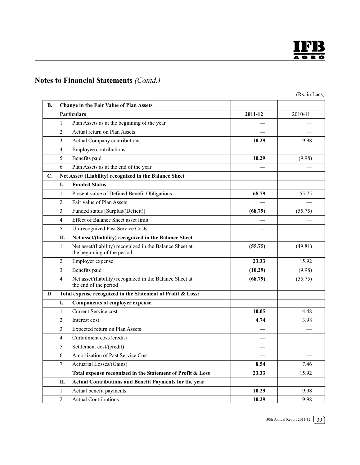

(Rs. in Lacs)

| В.             |                | <b>Change in the Fair Value of Plan Assets</b>                                          |         |         |
|----------------|----------------|-----------------------------------------------------------------------------------------|---------|---------|
|                |                | <b>Particulars</b>                                                                      | 2011-12 | 2010-11 |
|                | $\mathbf{1}$   | Plan Assets as at the beginning of the year                                             |         |         |
|                | $\overline{2}$ | Actual return on Plan Assets                                                            |         |         |
|                | 3              | Actual Company contributions                                                            | 10.29   | 9.98    |
|                | $\overline{4}$ | Employee contributions                                                                  |         |         |
|                | 5              | Benefits paid                                                                           | 10.29   | (9.98)  |
|                | 6              | Plan Assets as at the end of the year                                                   |         |         |
| $\mathbf{C}$ . |                | Net Asset/ (Liability) recognized in the Balance Sheet                                  |         |         |
|                | Ī.             | <b>Funded Status</b>                                                                    |         |         |
|                | $\mathbf{1}$   | Present value of Defined Benefit Obligations                                            | 68.79   | 55.75   |
|                | $\overline{2}$ | Fair value of Plan Assets                                                               |         |         |
|                | 3              | Funded status [Surplus/(Deficit)]                                                       | (68.79) | (55.75) |
|                | 4              | Effect of Balance Sheet asset limit                                                     |         |         |
|                | 5              | Un-recognized Past Service Costs                                                        |         |         |
|                | П.             | Net asset/(liability) recognized in the Balance Sheet                                   |         |         |
|                | $\mathbf{1}$   | Net asset/(liability) recognized in the Balance Sheet at<br>the beginning of the period | (55.75) | (49.81) |
|                | 2              | Employer expense                                                                        | 23.33   | 15.92   |
|                | 3              | Benefits paid                                                                           | (10.29) | (9.98)  |
|                | 4              | Net asset/(liability) recognized in the Balance Sheet at<br>the end of the period       | (68.79) | (55.75) |
| D.             |                | Total expense recognized in the Statement of Profit & Loss:                             |         |         |
|                | I.             | <b>Components of employer expense</b>                                                   |         |         |
|                | 1              | Current Service cost                                                                    | 10.05   | 4.48    |
|                | $\overline{2}$ | Interest cost                                                                           | 4.74    | 3.98    |
|                | 3              | Expected return on Plan Assets                                                          |         |         |
|                | $\overline{4}$ | Curtailment cost/(credit)                                                               |         |         |
|                | 5              | Settlement cost/(credit)                                                                |         |         |
|                | 6              | Amortization of Past Service Cost                                                       |         |         |
|                | 7              | Actuarial Losses/(Gains)                                                                | 8.54    | 7.46    |
|                |                | Total expense recognized in the Statement of Profit & Loss                              | 23.33   | 15.92   |
|                | П.             | Actual Contributions and Benefit Payments for the year                                  |         |         |
|                | $\mathbf{1}$   | Actual benefit payments                                                                 | 10.29   | 9.98    |
|                | $\overline{2}$ | <b>Actual Contributions</b>                                                             | 10.29   | 9.98    |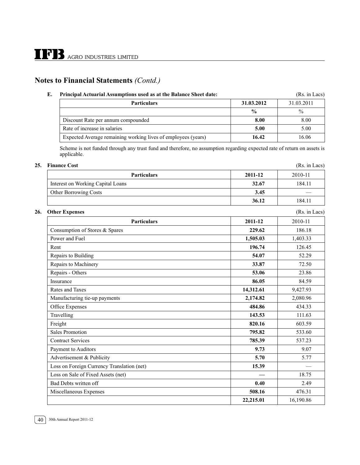| Е. | Principal Actuarial Assumptions used as at the Balance Sheet date: | (Rs. in Lacs) |               |
|----|--------------------------------------------------------------------|---------------|---------------|
|    | <b>Particulars</b>                                                 | 31.03.2012    | 31.03.2011    |
|    |                                                                    | $\frac{0}{0}$ | $\frac{0}{0}$ |
|    | Discount Rate per annum compounded                                 | 8.00          | 8.00          |
|    | Rate of increase in salaries                                       | 5.00          | 5.00          |
|    | Expected Average remaining working lives of employees (years)      | 16.42         | 16.06         |

Scheme is not funded through any trust fund and therefore, no assumption regarding expected rate of return on assets is applicable.

#### **25. Finance Cost** (Rs. in Lacs)

| <b>Particulars</b>                | 2011-12 | 2010-11 |
|-----------------------------------|---------|---------|
| Interest on Working Capital Loans | 32.67   | 184.11  |
| <b>Other Borrowing Costs</b>      | 3.45    |         |
|                                   | 36.12   | 184.11  |

#### **26. Other Expenses** (Rs. in Lacs)

| <b>Particulars</b>                         | 2011-12   | 2010-11   |
|--------------------------------------------|-----------|-----------|
| Consumption of Stores & Spares             | 229.62    | 186.18    |
| Power and Fuel                             | 1,505.03  | 1,403.33  |
| Rent                                       | 196.74    | 126.45    |
| Repairs to Building                        | 54.07     | 52.29     |
| Repairs to Machinery                       | 33.87     | 72.50     |
| Repairs - Others                           | 53.06     | 23.86     |
| Insurance                                  | 86.05     | 84.59     |
| Rates and Taxes                            | 14,312.61 | 9,427.93  |
| Manufacturing tie-up payments              | 2,174.82  | 2,080.96  |
| Office Expenses                            | 484.86    | 434.33    |
| Travelling                                 | 143.53    | 111.63    |
| Freight                                    | 820.16    | 603.59    |
| <b>Sales Promotion</b>                     | 795.82    | 533.60    |
| <b>Contract Services</b>                   | 785.39    | 537.23    |
| Payment to Auditors                        | 9.73      | 9.07      |
| Advertisement & Publicity                  | 5.70      | 5.77      |
| Loss on Foreign Currency Translation (net) | 15.39     |           |
| Loss on Sale of Fixed Assets (net)         |           | 18.75     |
| <b>Bad Debts written off</b>               | 0.40      | 2.49      |
| Miscellaneous Expenses                     | 508.16    | 476.31    |
|                                            | 22,215.01 | 16,190.86 |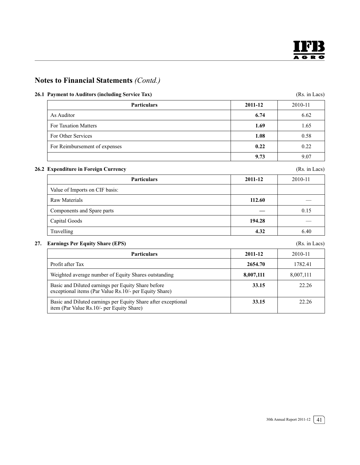

#### **26.1 Payment to Auditors (including Service Tax)** (Rs. in Lacs)

| <b>Particulars</b>            | 2011-12 | 2010-11 |
|-------------------------------|---------|---------|
| As Auditor                    | 6.74    | 6.62    |
| <b>For Taxation Matters</b>   | 1.69    | 1.65    |
| For Other Services            | 1.08    | 0.58    |
| For Reimbursement of expenses | 0.22    | 0.22    |
|                               | 9.73    | 9.07    |

#### **26.2 Expenditure in Foreign Currency** (Rs. in Lacs)

| <b>Particulars</b>             | 2011-12 | 2010-11 |
|--------------------------------|---------|---------|
| Value of Imports on CIF basis: |         |         |
| Raw Materials                  | 112.60  |         |
| Components and Spare parts     |         | 0.15    |
| Capital Goods                  | 194.28  |         |
| Travelling                     | 4.32    | 6.40    |

**27. Earnings Per Equity Share (EPS)** (Rs. in Lacs) **Particulars** 2011-12 2010-11 **Profit after Tax 2654.70 1782.41** 22654.70 1782.41 Weighted average number of Equity Shares outstanding **8,007,111** 8,007,111 Basic and Diluted earnings per Equity Share before **33.15** 22.26 exceptional items (Par Value Rs.10/- per Equity Share) Basic and Diluted earnings per Equity Share after exceptional **33.15** 33.15 22.26 item (Par Value Rs.10/- per Equity Share)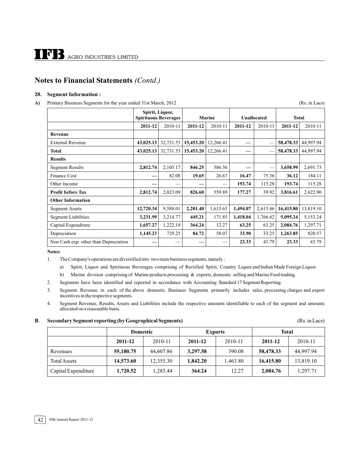#### **28. Segment Information :**

#### A) Primary Business Segments for the year ended 31st March, 2012 (Rs. in Lacs)

|                                       | Spirit, Liquor,<br><b>Spirituous Beverages</b> |           | <b>Marine</b> |           | <b>Unallocated</b> |          | <b>Total</b> |           |
|---------------------------------------|------------------------------------------------|-----------|---------------|-----------|--------------------|----------|--------------|-----------|
|                                       | 2011-12                                        | 2010-11   | 2011-12       | 2010-11   | 2011-12            | 2010-11  | 2011-12      | 2010-11   |
| <b>Revenue</b>                        |                                                |           |               |           |                    |          |              |           |
| <b>External Revenue</b>               | 43,025.13                                      | 32,731.53 | 15,453.20     | 12,266.41 |                    |          | 58,478.33    | 44,997.94 |
| Total                                 | 43,025.13                                      | 32,731.53 | 15,453.20     | 12,266.41 |                    |          | 58,478.33    | 44,997.94 |
| <b>Results</b>                        |                                                |           |               |           |                    |          |              |           |
| <b>Segment Results</b>                | 2,812.74                                       | 2,105.17  | 846.25        | 586.56    |                    | -        | 3,658.99     | 2,691.73  |
| <b>Finance Cost</b>                   |                                                | 82.08     | 19.65         | 26.67     | 16.47              | 75.36    | 36.12        | 184.11    |
| Other Income                          |                                                |           |               |           | 193.74             | 115.28   | 193.74       | 115.28    |
| Profit before Tax                     | 2,812.74                                       | 2,023.09  | 826.60        | 559.89    | 177.27             | 39.92    | 3,816.61     | 2,622.90  |
| <b>Other Information</b>              |                                                |           |               |           |                    |          |              |           |
| <b>Segment Assets</b>                 | 12,720.34                                      | 9,588.01  | 2,201.40      | 1,615.63  | 1,494.07           | 2,615.46 | 16,415.80    | 13,819.10 |
| <b>Segment Liabilities</b>            | 3,231.99                                       | 3,214.77  | 445.21        | 171.85    | 1,418.04           | 1,766.62 | 5,095.24     | 5,153.24  |
| Capital Expenditure                   | 1,657.27                                       | 1,222.19  | 364.24        | 12.27     | 63.25              | 63.25    | 2,084.76     | 1,297.71  |
| Depreciation                          | 1,145.23                                       | 729.25    | 84.72         | 58.07     | 33.90              | 33.25    | 1,263.85     | 820.57    |
| Non Cash exp. other than Depreciation |                                                |           |               |           | 23.33              | 43.79    | 23.33        | 43.79     |

**Notes:**

- 1. The Company's operations are diversified into two main business segments, namely :
	- a) Spirit, Liquor and Spirituous Beverages comprising of Rectified Spirit, Country Liquor and Indian Made Foreign Liquor.
	- b) Marine division comprising of Marine products processing & exports, domestic selling and Marine Feed trading.
- 2. Segments have been identified and reported in accordance with Accounting Standard 17 Segment Reporting.
- 3. Segment Revenue in each of the above domestic Business Segments primarily includes sales, processing charges and export incentives in the respective segments.
- 4. Segment Revenue, Results, Assets and Liabilities include the respective amounts identifiable to each of the segment and amounts allocated on a reasonable basis.

#### **B**. **Secondary Segment reporting (by Geographical Segments)** (Rs. in Lacs)

|                     | <b>Domestic</b> |           | <b>Exports</b> |          | <b>Total</b> |           |
|---------------------|-----------------|-----------|----------------|----------|--------------|-----------|
|                     | 2011-12         | 2010-11   | 2011-12        | 2010-11  | 2011-12      | 2010-11   |
| Revenues            | 55,180.75       | 44,607.86 | 3,297.58       | 390.08   | 58,478.33    | 44,997.94 |
| <b>Total Assets</b> | 14,573.60       | 12,355.30 | 1,842.20       | 1.463.80 | 16,415.80    | 13,819.10 |
| Capital Expenditure | 1,720.52        | 1,285.44  | 364.24         | 12.27    | 2,084.76     | 1,297.71  |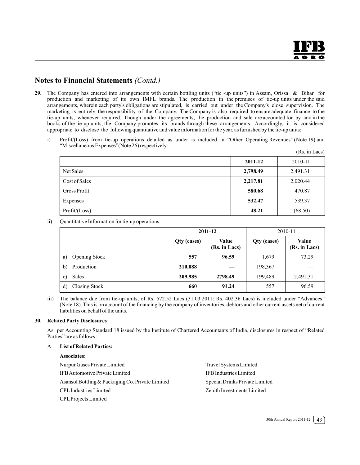- **29.** The Company has entered into arrangements with certain bottling units ("tie -up units") in Assam, Orissa & Bihar for production and marketing of its own IMFL brands. The production in the premises of tie-up units under the said arrangements, wherein each party's obligations are stipulated, is carried out under the Company's close supervision. The marketing is entirely the responsibility of the Company. The Company is also required to ensure adequate finance to the tie-up units, whenever required. Though under the agreements, the production and sale are accounted for by and in the books of the tie-up units, the Company promotes its brands through these arrangements. Accordingly, it is considered appropriate to disclose the following quantitative and value information for the year, as furnished by the tie-up units:
	- i) Profit/(Loss) from tie-up operations detailed as under is included in "Other Operating Revenues" (Note 19) and "Miscellaneous Expenses"(Note 26) respectively.  $(D<sub>c</sub>$  in Lacs)

|                     |          | (RS. III LACS) |
|---------------------|----------|----------------|
|                     | 2011-12  | 2010-11        |
| Net Sales           | 2,798.49 | 2,491.31       |
| Cost of Sales       | 2,217.81 | 2,020.44       |
| <b>Gross Profit</b> | 580.68   | 470.87         |
| Expenses            | 532.47   | 539.37         |
| Profit / (Loss)     | 48.21    | (68.50)        |

ii) Quantitative Information for tie-up operations: -

|                            | 2011-12     |                        | 2010-11     |                               |
|----------------------------|-------------|------------------------|-------------|-------------------------------|
|                            | Qty (cases) | Value<br>(Rs. in Lacs) | Qty (cases) | <b>Value</b><br>(Rs. in Lacs) |
| <b>Opening Stock</b><br>a) | 557         | 96.59                  | 1.679       | 73.29                         |
| Production<br>b)           | 210,088     |                        | 198,367     |                               |
| Sales<br>c)                | 209,985     | 2798.49                | 199,489     | 2,491.31                      |
| Closing Stock<br>d)        | 660         | 91.24                  | 557         | 96.59                         |

iii) The balance due from tie-up units, of Rs. 572.52 Lacs (31.03.2011: Rs. 402.36 Lacs) is included under "Advances" (Note 18). This is on account of the financing by the company of inventories, debtors and other current assets net of current liabilities on behalf of the units.

#### **30. Related Party Disclosures**

As per Accounting Standard 18 issued by the Institute of Chartered Accountants of India, disclosures in respect of "Related Parties" are as follows :

#### A. **List of Related Parties:**

#### **Associates:**

Nurpur Gases Private Limited Travel Systems Limited IFB Automotive Private Limited IFB Industries Limited Asansol Bottling & Packaging Co. Private Limited Special Drinks Private Limited CPL Industries Limited Zenith Investments Limited CPL Projects Limited

30th Annual Report 2011-12  $\mid 43 \rangle$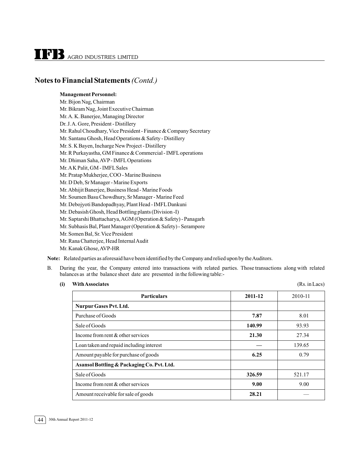#### **Management Personnel:**

Mr. Bijon Nag, Chairman Mr. Bikram Nag, Joint Executive Chairman Mr.A. K. Banerjee, Managing Director Dr. J. A. Gore, President - Distillery Mr. Rahul Choudhary, Vice President - Finance & Company Secretary Mr. Santanu Ghosh, Head Operations & Safety - Distillery Mr. S. K Bayen, Incharge New Project - Distillery Mr. R Purkayastha, GM Finance & Commercial - IMFL operations Mr. Dhiman Saha, AVP - IMFL Operations Mr.A K Palit, GM - IMFL Sales Mr. Pratap Mukherjee, COO - Marine Business Mr. D Deb, Sr Manager - Marine Exports Mr.Abhijit Banerjee, Business Head - Marine Foods Mr. Soumen Basu Chowdhury, Sr Manager - Marine Feed Mr. Debojyoti Bandopadhyay, Plant Head - IMFL Dankuni Mr. Debasish Ghosh, Head Bottling plants (Division -I) Mr. Saptarshi Bhattacharya, AGM (Operation & Safety) - Panagarh Mr. Subhasis Bal, Plant Manager (Operation & Safety) - Serampore Mr. Somen Bal, Sr. Vice President Mr. Rana Chatterjee, Head Internal Audit Mr. Kanak Ghose, AVP-HR

**Note:** Related parties as aforesaid have been identified by the Company and relied upon by the Auditors.

- B. During the year, the Company entered into transactions with related parties. Those transactions along with related balances as at the balance sheet date are presented in the following table:-
	- **(i) With Associates** (Rs. in Lacs)

| <b>Particulars</b>                         | 2011-12 | 2010-11 |
|--------------------------------------------|---------|---------|
| <b>Nurpur Gases Pvt. Ltd.</b>              |         |         |
| Purchase of Goods                          | 7.87    | 8.01    |
| Sale of Goods                              | 140.99  | 93.93   |
| Income from rent $\&$ other services       | 21.30   | 27.34   |
| Loan taken and repaid including interest   |         | 139.65  |
| Amount payable for purchase of goods       | 6.25    | 0.79    |
| Asansol Bottling & Packaging Co. Pvt. Ltd. |         |         |
| Sale of Goods                              | 326.59  | 521.17  |
| Income from rent $&$ other services        | 9.00    | 9.00    |
| Amount receivable for sale of goods        | 28.21   |         |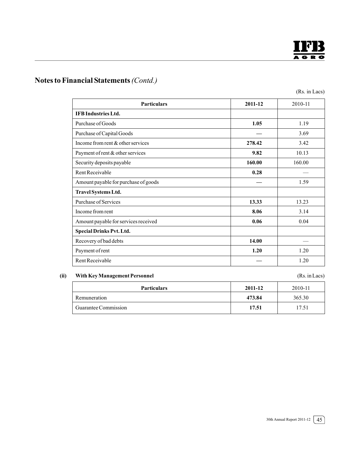

(Rs. in Lacs)

| <b>Particulars</b>                   | 2011-12 | 2010-11 |
|--------------------------------------|---------|---------|
| <b>IFB</b> Industries Ltd.           |         |         |
| Purchase of Goods                    | 1.05    | 1.19    |
| Purchase of Capital Goods            |         | 3.69    |
| Income from rent $\&$ other services | 278.42  | 3.42    |
| Payment of rent & other services     | 9.82    | 10.13   |
| Security deposits payable            | 160.00  | 160.00  |
| Rent Receivable                      | 0.28    |         |
| Amount payable for purchase of goods |         | 1.59    |
| Travel Systems Ltd.                  |         |         |
| Purchase of Services                 | 13.33   | 13.23   |
| Income from rent                     | 8.06    | 3.14    |
| Amount payable for services received | 0.06    | 0.04    |
| <b>Special Drinks Pvt. Ltd.</b>      |         |         |
| Recovery of bad debts                | 14.00   |         |
| Payment of rent                      | 1.20    | 1.20    |
| Rent Receivable                      |         | 1.20    |

#### **(ii) With Key Management Personnel** (Rs. in Lacs)

| <b>Particulars</b>   | 2011-12 | 2010-11 |
|----------------------|---------|---------|
| Remuneration         | 473.84  | 365.30  |
| Guarantee Commission | 17.51   | 17.51   |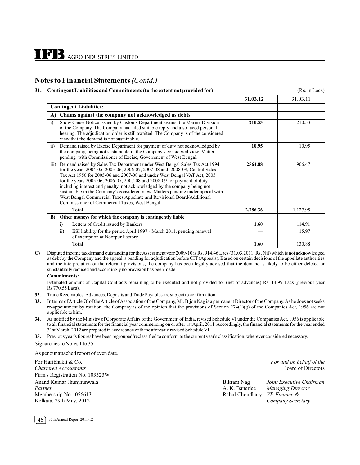#### **31. Contingent Liabilities and Commitments (to the extent not provided for)** (Rs. in Lacs)

|                                                                                                                                                                                                                                                                                                                                                                                                                                                                                                                                                                                                                                 | 31.03.12 | 31.03.11 |
|---------------------------------------------------------------------------------------------------------------------------------------------------------------------------------------------------------------------------------------------------------------------------------------------------------------------------------------------------------------------------------------------------------------------------------------------------------------------------------------------------------------------------------------------------------------------------------------------------------------------------------|----------|----------|
| <b>Contingent Liabilities:</b>                                                                                                                                                                                                                                                                                                                                                                                                                                                                                                                                                                                                  |          |          |
| Claims against the company not acknowledged as debts<br>A)                                                                                                                                                                                                                                                                                                                                                                                                                                                                                                                                                                      |          |          |
| Show Cause Notice issued by Customs Department against the Marine Division<br>i)<br>of the Company. The Company had filed suitable reply and also faced personal<br>hearing. The adjudication order is still awaited. The Company is of the considered<br>view that the demand is not sustainable.                                                                                                                                                                                                                                                                                                                              | 210.53   | 210.53   |
| Demand raised by Excise Department for payment of duty not acknowledged by<br>$\overline{ii}$<br>the company, being not sustainable in the Company's considered view. Matter<br>pending with Commissioner of Excise, Government of West Bengal.                                                                                                                                                                                                                                                                                                                                                                                 | 10.95    | 10.95    |
| Demand raised by Sales Tax Department under West Bengal Sales Tax Act 1994<br>$\overline{111}$<br>for the years 2004-05, 2005-06, 2006-07, 2007-08 and 2008-09, Central Sales<br>Tax Act 1956 for 2005-06 and 2007-08 and under West Bengal VAT Act, 2003<br>for the years 2005-06, 2006-07, 2007-08 and 2008-09 for payment of duty<br>including interest and penalty, not acknowledged by the company being not<br>sustainable in the Company's considered view. Matters pending under appeal with<br>West Bengal Commercial Taxes Appellate and Revisional Board/Additional<br>Commissioner of Commercial Taxes, West Bengal | 2564.88  | 906.47   |
| <b>Total</b>                                                                                                                                                                                                                                                                                                                                                                                                                                                                                                                                                                                                                    | 2,786.36 | 1,127.95 |
| Other moneys for which the company is contingently liable<br>B)                                                                                                                                                                                                                                                                                                                                                                                                                                                                                                                                                                 |          |          |
| Letters of Credit issued by Bankers<br>$\ddot{1}$                                                                                                                                                                                                                                                                                                                                                                                                                                                                                                                                                                               | 1.60     | 114.91   |
| ESI liability for the period April 1997 - March 2011, pending renewal<br>$\overline{ii}$<br>of exemption at Noorpur Factory                                                                                                                                                                                                                                                                                                                                                                                                                                                                                                     |          | 15.97    |
| <b>Total</b>                                                                                                                                                                                                                                                                                                                                                                                                                                                                                                                                                                                                                    | 1.60     | 130.88   |

**C)** Disputed income tax demand outstanding for the Assessment year 2009-10 is Rs. 914.46 Lacs (31.03.2011: Rs. Nil) which is not acknowledged as debt by the Company and the appeal is pending for adjudication before CIT (Appeals). Based on certain decisions of the appellate authorities and the interpretation of the relevant provisions, the company has been legally advised that the demand is likely to be either deleted or substantially reduced and accordingly no provision has been made.

#### **Commitments:**

Estimated amount of Capital Contracts remaining to be executed and not provided for (net of advances) Rs. 14.99 Lacs (previous year Rs 770.55 Lacs).

- **32**. Trade Receivables, Advances, Deposits and Trade Payables are subject to confirmation.
- **33.** In terms of Article 76 of the Article of Association of the Company, Mr. Bijon Nag is a permanent Director of the Company.As he does not seeks re-appointment by rotation, the Company is of the opinion that the provisions of Section 274(1)(g) of the Companies Act, 1956 are not applicable to him.
- **34.** As notified by the Ministry of Corporate Affairs of the Government of India, revised Schedule VI under the Companies Act, 1956 is applicable to all financial statements for the financial year commencing on or after 1st April, 2011.Accordingly, the financial statements for the year ended 31st March, 2012 are prepared in accordance with the aforesaid revised Schedule VI.

**35.** Previous year's figures have been regrouped/reclassified to conform to the current year's classification, wherever considered necessary. Signatories to Notes 1 to 35.

As per our attached report of even date.

For Haribhakti & Co. *For and on behalf of the* **Chartered Accountants** Firm's Registration No. 103523W Anand Kumar Jhunjhunwala Bikram Nag *Joint Executive Chairman* Membership No: 056613 Kolkata, 29th May, 2012

| Anand Kumar Jhunjhunwala | Bikram Nag                   | Joint Executive Chairman |
|--------------------------|------------------------------|--------------------------|
| Partner                  | A. K. Banerjee               | Managing Director        |
| Membership No: 056613    | Rahul Choudhary VP-Finance & |                          |
| Kolkata, 29th May, 2012  |                              | Company Secretary        |



46 30th Annual Report 2011-12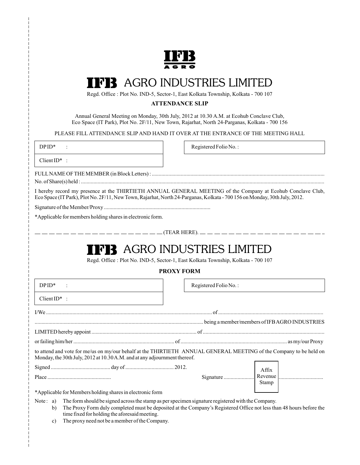

## AGRO INDUSTRIES LIMITED

Regd. Office : Plot No. IND-5, Sector-1, East Kolkata Township, Kolkata - 700 107

#### **ATTENDANCE SLIP**

Annual General Meeting on Monday, 30th July, 2012 at 10.30 A.M. at Ecohub Conclave Club, Eco Space (IT Park), Plot No. 2F/11, New Town, Rajarhat, North 24-Parganas, Kolkata - 700 156

PLEASE FILL ATTENDANCE SLIP AND HAND IT OVER AT THE ENTRANCE OF THE MEETING HALL

| $DPID*$                                                                                                                   | Registered Folio No.:                                                                                                   |
|---------------------------------------------------------------------------------------------------------------------------|-------------------------------------------------------------------------------------------------------------------------|
| Client $ID^*$ :                                                                                                           |                                                                                                                         |
|                                                                                                                           |                                                                                                                         |
| Eco Space (IT Park), Plot No. 2F/11, New Town, Rajarhat, North 24-Parganas, Kolkata - 700 156 on Monday, 30th July, 2012. | I hereby record my presence at the THIRTIETH ANNUAL GENERAL MEETING of the Company at Ecohub Conclave Club,             |
|                                                                                                                           |                                                                                                                         |
| *Applicable for members holding shares in electronic form.                                                                |                                                                                                                         |
|                                                                                                                           | ——————————————————(TEAR HERE). ———————————————————                                                                      |
|                                                                                                                           | <b>THE AGRO INDUSTRIES LIMITED</b><br>Regd. Office : Plot No. IND-5, Sector-1, East Kolkata Township, Kolkata - 700 107 |

#### **PROXY FORM**

| $DPID*$                                                                   | Registered Folio No.:                                                                                              |
|---------------------------------------------------------------------------|--------------------------------------------------------------------------------------------------------------------|
| $ClientID^*$ :                                                            |                                                                                                                    |
|                                                                           |                                                                                                                    |
|                                                                           |                                                                                                                    |
|                                                                           |                                                                                                                    |
|                                                                           |                                                                                                                    |
| Monday, the 30th July, 2012 at 10.30 A.M. and at any adjournment thereof. | to attend and vote for me/us on my/our behalf at the THIRTIETH ANNUAL GENERAL MEETING of the Company to be held on |
|                                                                           |                                                                                                                    |
|                                                                           | Stamp                                                                                                              |
| *Applicable for Members holding shares in electronic form                 |                                                                                                                    |

Note: a) The form should be signed across the stamp as per specimen signature registered with the Company.

- b) The Proxy Form duly completed must be deposited at the Company's Registered Office not less than 48 hours before the time fixed for holding the aforesaid meeting.
	- c) The proxy need not be a member of the Company.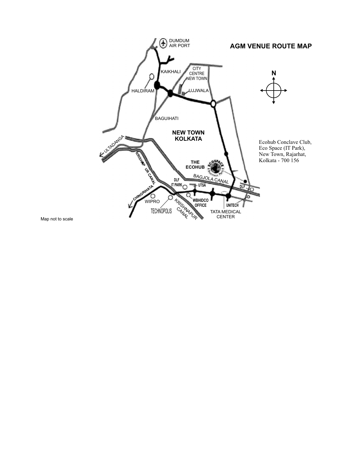

Map not to scale